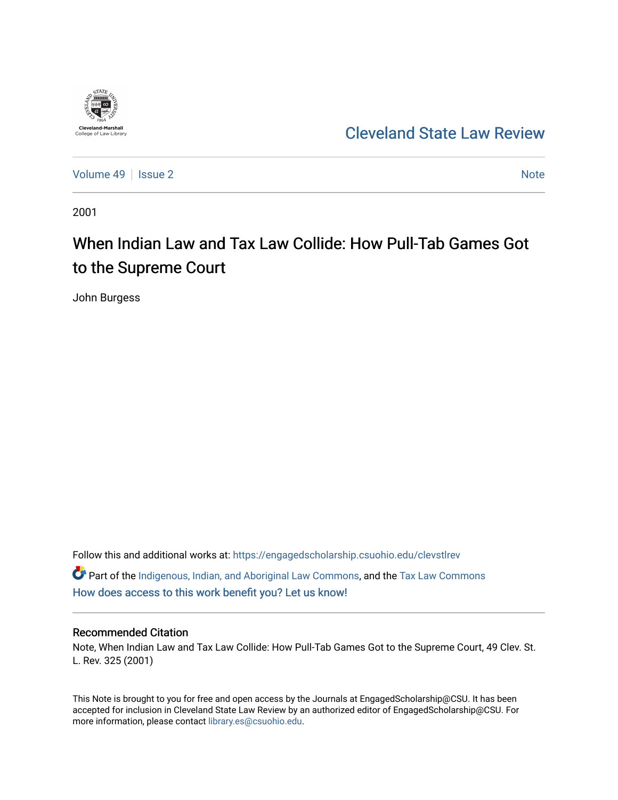

## [Cleveland State Law Review](https://engagedscholarship.csuohio.edu/clevstlrev)

[Volume 49](https://engagedscholarship.csuohio.edu/clevstlrev/vol49) | [Issue 2](https://engagedscholarship.csuohio.edu/clevstlrev/vol49/iss2) [Note](https://engagedscholarship.csuohio.edu/clevstlrev/vol49/iss2/6) 2 Note 2 Note 2 Note 2 Note 2 Note 2 Note 2 Note 2 Note 2 Note 2 Note 2 Note 2 Note 2 Note 2 Note 2 Note 2 Note 2 Note 2 Note 2 Note 2 Note 2 Note 2 Note 2 Note 2 Note 2 Note 2 Note 2 Note 2 Note 2

2001

# When Indian Law and Tax Law Collide: How Pull-Tab Games Got to the Supreme Court

John Burgess

Follow this and additional works at: [https://engagedscholarship.csuohio.edu/clevstlrev](https://engagedscholarship.csuohio.edu/clevstlrev?utm_source=engagedscholarship.csuohio.edu%2Fclevstlrev%2Fvol49%2Fiss2%2F6&utm_medium=PDF&utm_campaign=PDFCoverPages) Part of the [Indigenous, Indian, and Aboriginal Law Commons](http://network.bepress.com/hgg/discipline/894?utm_source=engagedscholarship.csuohio.edu%2Fclevstlrev%2Fvol49%2Fiss2%2F6&utm_medium=PDF&utm_campaign=PDFCoverPages), and the [Tax Law Commons](http://network.bepress.com/hgg/discipline/898?utm_source=engagedscholarship.csuohio.edu%2Fclevstlrev%2Fvol49%2Fiss2%2F6&utm_medium=PDF&utm_campaign=PDFCoverPages)

[How does access to this work benefit you? Let us know!](http://library.csuohio.edu/engaged/)

## Recommended Citation

Note, When Indian Law and Tax Law Collide: How Pull-Tab Games Got to the Supreme Court, 49 Clev. St. L. Rev. 325 (2001)

This Note is brought to you for free and open access by the Journals at EngagedScholarship@CSU. It has been accepted for inclusion in Cleveland State Law Review by an authorized editor of EngagedScholarship@CSU. For more information, please contact [library.es@csuohio.edu](mailto:library.es@csuohio.edu).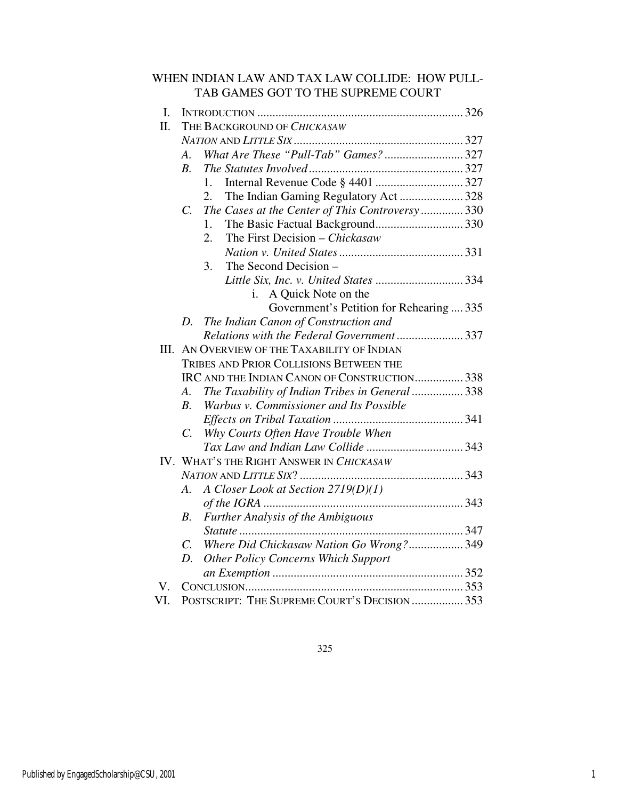| WHEN INDIAN LAW AND TAX LAW COLLIDE: HOW PULL- |  |
|------------------------------------------------|--|
| TAB GAMES GOT TO THE SUPREME COURT             |  |

| I.   |                                                |                                                 |  |  |
|------|------------------------------------------------|-------------------------------------------------|--|--|
| Π.   |                                                | THE BACKGROUND OF CHICKASAW                     |  |  |
|      |                                                |                                                 |  |  |
|      | A.                                             | What Are These "Pull-Tab" Games?327             |  |  |
|      | $B_{\cdot}$                                    |                                                 |  |  |
|      |                                                | 1.                                              |  |  |
|      |                                                | The Indian Gaming Regulatory Act  328<br>2.     |  |  |
|      | C.                                             | The Cases at the Center of This Controversy 330 |  |  |
|      |                                                | 1.                                              |  |  |
|      |                                                | 2.<br>The First Decision – Chickasaw            |  |  |
|      |                                                |                                                 |  |  |
|      |                                                | 3.<br>The Second Decision -                     |  |  |
|      |                                                |                                                 |  |  |
|      |                                                | A Quick Note on the<br>i.                       |  |  |
|      |                                                | Government's Petition for Rehearing  335        |  |  |
|      | D.                                             | The Indian Canon of Construction and            |  |  |
|      |                                                | Relations with the Federal Government337        |  |  |
| III. |                                                | AN OVERVIEW OF THE TAXABILITY OF INDIAN         |  |  |
|      | <b>TRIBES AND PRIOR COLLISIONS BETWEEN THE</b> |                                                 |  |  |
|      |                                                | IRC AND THE INDIAN CANON OF CONSTRUCTION 338    |  |  |
|      | A.                                             | The Taxability of Indian Tribes in General  338 |  |  |
|      | $B_{\cdot}$                                    | Warbus v. Commissioner and Its Possible         |  |  |
|      |                                                |                                                 |  |  |
|      | C.                                             | Why Courts Often Have Trouble When              |  |  |
|      |                                                |                                                 |  |  |
|      |                                                | IV. WHAT'S THE RIGHT ANSWER IN CHICKASAW        |  |  |
|      |                                                |                                                 |  |  |
|      | А.                                             | A Closer Look at Section 2719(D)(1)             |  |  |
|      |                                                |                                                 |  |  |
|      | В.                                             | Further Analysis of the Ambiguous               |  |  |
|      |                                                |                                                 |  |  |
|      | $C_{\cdot}$                                    | Where Did Chickasaw Nation Go Wrong? 349        |  |  |
|      | D.                                             | <b>Other Policy Concerns Which Support</b>      |  |  |
|      |                                                |                                                 |  |  |
| V.   |                                                |                                                 |  |  |
| VI.  |                                                | POSTSCRIPT: THE SUPREME COURT'S DECISION  353   |  |  |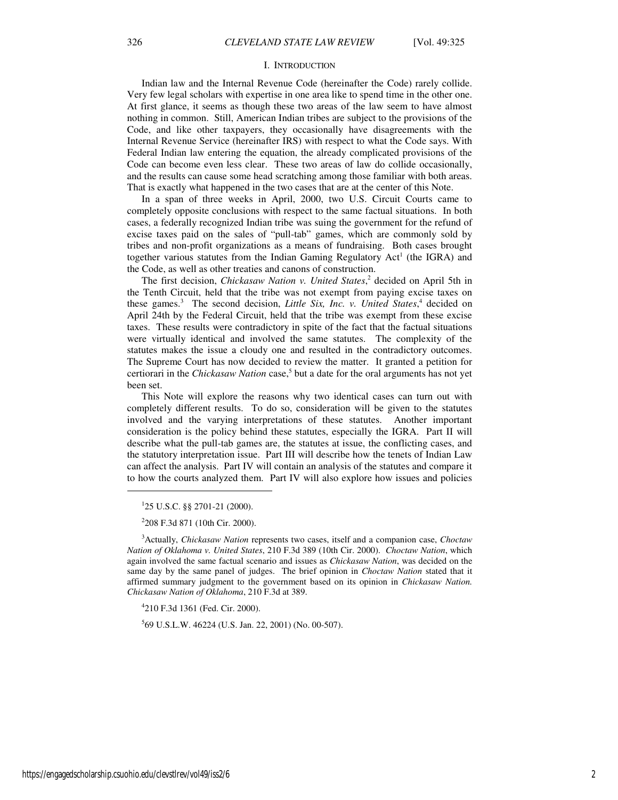#### I. INTRODUCTION

Indian law and the Internal Revenue Code (hereinafter the Code) rarely collide. Very few legal scholars with expertise in one area like to spend time in the other one. At first glance, it seems as though these two areas of the law seem to have almost nothing in common. Still, American Indian tribes are subject to the provisions of the Code, and like other taxpayers, they occasionally have disagreements with the Internal Revenue Service (hereinafter IRS) with respect to what the Code says. With Federal Indian law entering the equation, the already complicated provisions of the Code can become even less clear. These two areas of law do collide occasionally, and the results can cause some head scratching among those familiar with both areas. That is exactly what happened in the two cases that are at the center of this Note.

In a span of three weeks in April, 2000, two U.S. Circuit Courts came to completely opposite conclusions with respect to the same factual situations. In both cases, a federally recognized Indian tribe was suing the government for the refund of excise taxes paid on the sales of "pull-tab" games, which are commonly sold by tribes and non-profit organizations as a means of fundraising. Both cases brought together various statutes from the Indian Gaming Regulatory Act<sup>1</sup> (the IGRA) and the Code, as well as other treaties and canons of construction.

The first decision, *Chickasaw Nation v. United States*, 2 decided on April 5th in the Tenth Circuit, held that the tribe was not exempt from paying excise taxes on these games.<sup>3</sup> The second decision, *Little Six, Inc. v. United States*,<sup>4</sup> decided on April 24th by the Federal Circuit, held that the tribe was exempt from these excise taxes. These results were contradictory in spite of the fact that the factual situations were virtually identical and involved the same statutes. The complexity of the statutes makes the issue a cloudy one and resulted in the contradictory outcomes. The Supreme Court has now decided to review the matter. It granted a petition for certiorari in the *Chickasaw Nation* case,<sup>5</sup> but a date for the oral arguments has not yet been set.

This Note will explore the reasons why two identical cases can turn out with completely different results. To do so, consideration will be given to the statutes involved and the varying interpretations of these statutes. Another important consideration is the policy behind these statutes, especially the IGRA. Part II will describe what the pull-tab games are, the statutes at issue, the conflicting cases, and the statutory interpretation issue. Part III will describe how the tenets of Indian Law can affect the analysis. Part IV will contain an analysis of the statutes and compare it to how the courts analyzed them. Part IV will also explore how issues and policies

1 25 U.S.C. §§ 2701-21 (2000).

2 208 F.3d 871 (10th Cir. 2000).

<sup>3</sup>Actually, *Chickasaw Nation* represents two cases, itself and a companion case, *Choctaw Nation of Oklahoma v. United States*, 210 F.3d 389 (10th Cir. 2000). *Choctaw Nation*, which again involved the same factual scenario and issues as *Chickasaw Nation*, was decided on the same day by the same panel of judges. The brief opinion in *Choctaw Nation* stated that it affirmed summary judgment to the government based on its opinion in *Chickasaw Nation. Chickasaw Nation of Oklahoma*, 210 F.3d at 389.

4 210 F.3d 1361 (Fed. Cir. 2000).

5 69 U.S.L.W. 46224 (U.S. Jan. 22, 2001) (No. 00-507).

 $\overline{a}$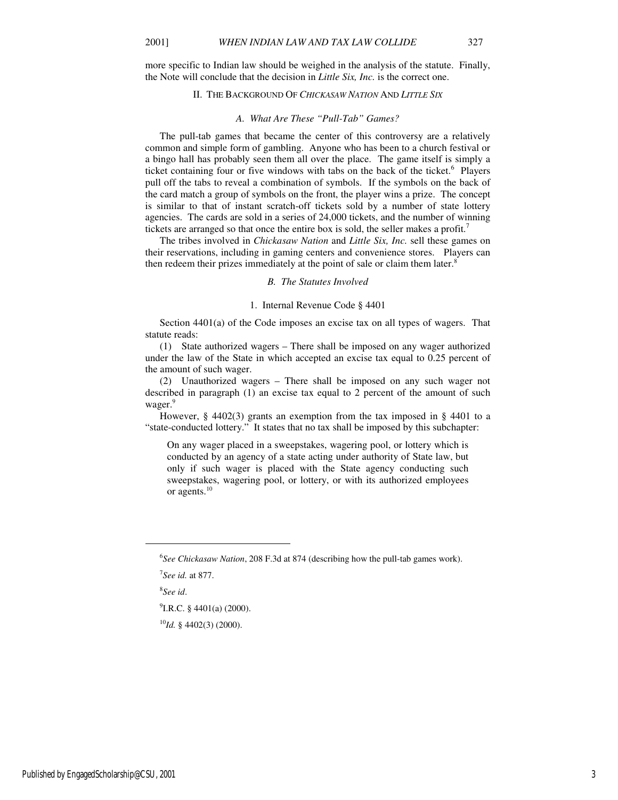more specific to Indian law should be weighed in the analysis of the statute. Finally, the Note will conclude that the decision in *Little Six, Inc.* is the correct one.

## II. THE BACKGROUND OF *CHICKASAW NATION* AND *LITTLE SIX*

#### *A. What Are These "Pull-Tab" Games?*

The pull-tab games that became the center of this controversy are a relatively common and simple form of gambling. Anyone who has been to a church festival or a bingo hall has probably seen them all over the place. The game itself is simply a ticket containing four or five windows with tabs on the back of the ticket.<sup>6</sup> Players pull off the tabs to reveal a combination of symbols. If the symbols on the back of the card match a group of symbols on the front, the player wins a prize. The concept is similar to that of instant scratch-off tickets sold by a number of state lottery agencies. The cards are sold in a series of 24,000 tickets, and the number of winning tickets are arranged so that once the entire box is sold, the seller makes a profit.<sup>7</sup>

The tribes involved in *Chickasaw Nation* and *Little Six, Inc.* sell these games on their reservations, including in gaming centers and convenience stores. Players can then redeem their prizes immediately at the point of sale or claim them later.<sup>8</sup>

*B. The Statutes Involved* 

#### 1. Internal Revenue Code § 4401

Section  $4401(a)$  of the Code imposes an excise tax on all types of wagers. That statute reads:

(1) State authorized wagers – There shall be imposed on any wager authorized under the law of the State in which accepted an excise tax equal to 0.25 percent of the amount of such wager.

(2) Unauthorized wagers – There shall be imposed on any such wager not described in paragraph (1) an excise tax equal to 2 percent of the amount of such wager.<sup>9</sup>

However, § 4402(3) grants an exemption from the tax imposed in § 4401 to a "state-conducted lottery." It states that no tax shall be imposed by this subchapter:

On any wager placed in a sweepstakes, wagering pool, or lottery which is conducted by an agency of a state acting under authority of State law, but only if such wager is placed with the State agency conducting such sweepstakes, wagering pool, or lottery, or with its authorized employees or agents.<sup>10</sup>

1

 $^{9}$ I.R.C. § 4401(a) (2000).

 $^{10}$ *Id.* § 4402(3) (2000).

<sup>6</sup> *See Chickasaw Nation*, 208 F.3d at 874 (describing how the pull-tab games work).

<sup>7</sup> *See id.* at 877.

<sup>8</sup> *See id*.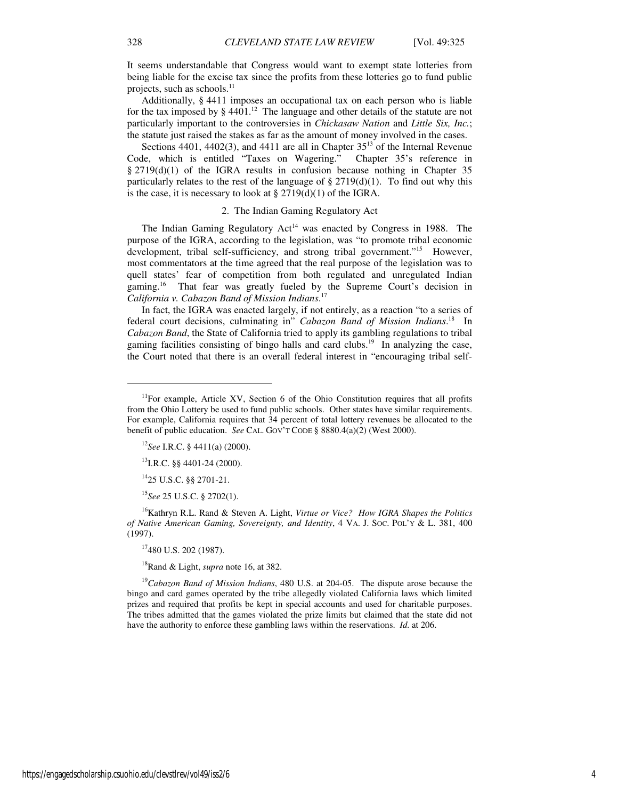It seems understandable that Congress would want to exempt state lotteries from being liable for the excise tax since the profits from these lotteries go to fund public projects, such as schools.<sup>11</sup>

Additionally, § 4411 imposes an occupational tax on each person who is liable for the tax imposed by  $\S$  4401.<sup>12</sup> The language and other details of the statute are not particularly important to the controversies in *Chickasaw Nation* and *Little Six, Inc.*; the statute just raised the stakes as far as the amount of money involved in the cases.

Sections 4401, 4402(3), and 4411 are all in Chapter  $35^{13}$  of the Internal Revenue Code, which is entitled "Taxes on Wagering." Chapter 35's reference in § 2719(d)(1) of the IGRA results in confusion because nothing in Chapter 35 particularly relates to the rest of the language of  $\S 2719(d)(1)$ . To find out why this is the case, it is necessary to look at  $\S 2719(d)(1)$  of the IGRA.

## 2. The Indian Gaming Regulatory Act

The Indian Gaming Regulatory Act<sup>14</sup> was enacted by Congress in 1988. The purpose of the IGRA, according to the legislation, was "to promote tribal economic development, tribal self-sufficiency, and strong tribal government."<sup>15</sup> However, most commentators at the time agreed that the real purpose of the legislation was to quell states' fear of competition from both regulated and unregulated Indian gaming.<sup>16</sup> That fear was greatly fueled by the Supreme Court's decision in *California v. Cabazon Band of Mission Indians*. 17

In fact, the IGRA was enacted largely, if not entirely, as a reaction "to a series of federal court decisions, culminating in" *Cabazon Band of Mission Indians*. <sup>18</sup> In *Cabazon Band*, the State of California tried to apply its gambling regulations to tribal gaming facilities consisting of bingo halls and card clubs.<sup>19</sup> In analyzing the case, the Court noted that there is an overall federal interest in "encouraging tribal self-

 $^{13}$ I.R.C. §§ 4401-24 (2000).

<sup>14</sup>25 U.S.C. §§ 2701-21.

<sup>15</sup>*See* 25 U.S.C. § 2702(1).

<sup>16</sup>Kathryn R.L. Rand & Steven A. Light, *Virtue or Vice? How IGRA Shapes the Politics of Native American Gaming, Sovereignty, and Identity*, 4 VA. J. SOC. POL'Y & L. 381, 400 (1997).

<sup>18</sup>Rand & Light, *supra* note 16, at 382.

<sup>19</sup>*Cabazon Band of Mission Indians*, 480 U.S. at 204-05. The dispute arose because the bingo and card games operated by the tribe allegedly violated California laws which limited prizes and required that profits be kept in special accounts and used for charitable purposes. The tribes admitted that the games violated the prize limits but claimed that the state did not have the authority to enforce these gambling laws within the reservations. *Id.* at 206.

1

<sup>&</sup>lt;sup>11</sup>For example, Article XV, Section 6 of the Ohio Constitution requires that all profits from the Ohio Lottery be used to fund public schools. Other states have similar requirements. For example, California requires that 34 percent of total lottery revenues be allocated to the benefit of public education. *See* CAL. GOV'T CODE § 8880.4(a)(2) (West 2000).

<sup>12</sup>*See* I.R.C. § 4411(a) (2000).

<sup>17</sup>480 U.S. 202 (1987).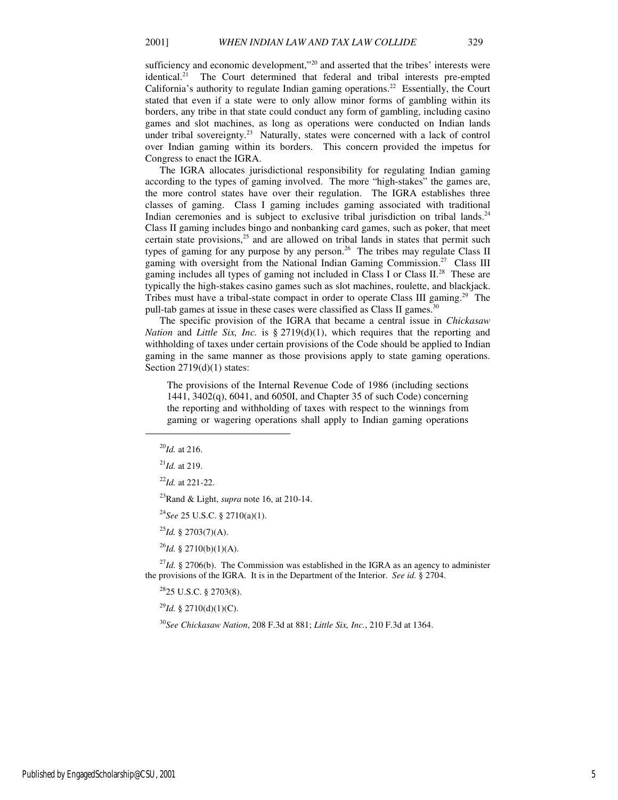sufficiency and economic development,"<sup>20</sup> and asserted that the tribes' interests were identical.<sup>21</sup> The Court determined that federal and tribal interests pre-empted California's authority to regulate Indian gaming operations.<sup>22</sup> Essentially, the Court stated that even if a state were to only allow minor forms of gambling within its borders, any tribe in that state could conduct any form of gambling, including casino games and slot machines, as long as operations were conducted on Indian lands under tribal sovereignty.<sup>23</sup> Naturally, states were concerned with a lack of control over Indian gaming within its borders. This concern provided the impetus for Congress to enact the IGRA.

The IGRA allocates jurisdictional responsibility for regulating Indian gaming according to the types of gaming involved. The more "high-stakes" the games are, the more control states have over their regulation. The IGRA establishes three classes of gaming. Class I gaming includes gaming associated with traditional Indian ceremonies and is subject to exclusive tribal jurisdiction on tribal lands.<sup>24</sup> Class II gaming includes bingo and nonbanking card games, such as poker, that meet certain state provisions, $25$  and are allowed on tribal lands in states that permit such types of gaming for any purpose by any person.<sup>26</sup> The tribes may regulate Class II gaming with oversight from the National Indian Gaming Commission.<sup>27</sup> Class III gaming includes all types of gaming not included in Class I or Class II.<sup>28</sup> These are typically the high-stakes casino games such as slot machines, roulette, and blackjack. Tribes must have a tribal-state compact in order to operate Class III gaming.<sup>29</sup> The pull-tab games at issue in these cases were classified as Class II games.<sup>30</sup>

The specific provision of the IGRA that became a central issue in *Chickasaw Nation* and *Little Six, Inc.* is § 2719(d)(1), which requires that the reporting and withholding of taxes under certain provisions of the Code should be applied to Indian gaming in the same manner as those provisions apply to state gaming operations. Section 2719(d)(1) states:

The provisions of the Internal Revenue Code of 1986 (including sections 1441, 3402(q), 6041, and 6050I, and Chapter 35 of such Code) concerning the reporting and withholding of taxes with respect to the winnings from gaming or wagering operations shall apply to Indian gaming operations

1

<sup>23</sup>Rand & Light, *supra* note 16, at 210-14.

<sup>24</sup>*See* 25 U.S.C. § 2710(a)(1).

<sup>25</sup>*Id.* § 2703(7)(A).

<sup>26</sup>*Id.* § 2710(b)(1)(A).

<sup>27</sup>*Id.* § 2706(b). The Commission was established in the IGRA as an agency to administer the provisions of the IGRA. It is in the Department of the Interior. *See id.* § 2704.

<sup>28</sup>25 U.S.C. § 2703(8).

 $^{29}$ *Id.* § 2710(d)(1)(C).

<sup>30</sup>*See Chickasaw Nation*, 208 F.3d at 881; *Little Six, Inc.*, 210 F.3d at 1364.

<sup>20</sup>*Id.* at 216.

<sup>21</sup>*Id.* at 219.

<sup>22</sup>*Id.* at 221-22.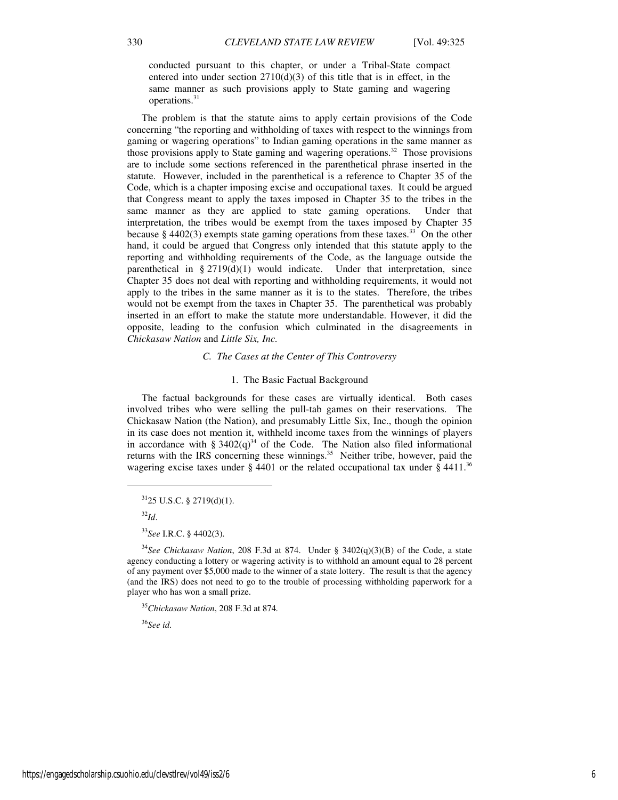conducted pursuant to this chapter, or under a Tribal-State compact entered into under section  $2710(d)(3)$  of this title that is in effect, in the same manner as such provisions apply to State gaming and wagering operations.<sup>31</sup>

The problem is that the statute aims to apply certain provisions of the Code concerning "the reporting and withholding of taxes with respect to the winnings from gaming or wagering operations" to Indian gaming operations in the same manner as those provisions apply to State gaming and wagering operations.<sup>32</sup> Those provisions are to include some sections referenced in the parenthetical phrase inserted in the statute. However, included in the parenthetical is a reference to Chapter 35 of the Code, which is a chapter imposing excise and occupational taxes. It could be argued that Congress meant to apply the taxes imposed in Chapter 35 to the tribes in the same manner as they are applied to state gaming operations. Under that interpretation, the tribes would be exempt from the taxes imposed by Chapter 35 because  $\S$  4402(3) exempts state gaming operations from these taxes.<sup>33</sup> On the other hand, it could be argued that Congress only intended that this statute apply to the reporting and withholding requirements of the Code, as the language outside the parenthetical in §  $2719(d)(1)$  would indicate. Under that interpretation, since Chapter 35 does not deal with reporting and withholding requirements, it would not apply to the tribes in the same manner as it is to the states. Therefore, the tribes would not be exempt from the taxes in Chapter 35. The parenthetical was probably inserted in an effort to make the statute more understandable. However, it did the opposite, leading to the confusion which culminated in the disagreements in *Chickasaw Nation* and *Little Six, Inc.*

#### *C. The Cases at the Center of This Controversy*

#### 1. The Basic Factual Background

The factual backgrounds for these cases are virtually identical. Both cases involved tribes who were selling the pull-tab games on their reservations. The Chickasaw Nation (the Nation), and presumably Little Six, Inc., though the opinion in its case does not mention it, withheld income taxes from the winnings of players in accordance with §  $3402(q)^{34}$  of the Code. The Nation also filed informational returns with the IRS concerning these winnings.<sup>35</sup> Neither tribe, however, paid the wagering excise taxes under § 4401 or the related occupational tax under § 4411.<sup>36</sup>

<sup>32</sup>*Id*.

 $\overline{a}$ 

<sup>36</sup>*See id.* 

 $3125$  U.S.C. § 2719(d)(1).

<sup>33</sup>*See* I.R.C. § 4402(3).

<sup>34</sup>*See Chickasaw Nation*, 208 F.3d at 874. Under § 3402(q)(3)(B) of the Code, a state agency conducting a lottery or wagering activity is to withhold an amount equal to 28 percent of any payment over \$5,000 made to the winner of a state lottery. The result is that the agency (and the IRS) does not need to go to the trouble of processing withholding paperwork for a player who has won a small prize.

<sup>35</sup>*Chickasaw Nation*, 208 F.3d at 874*.*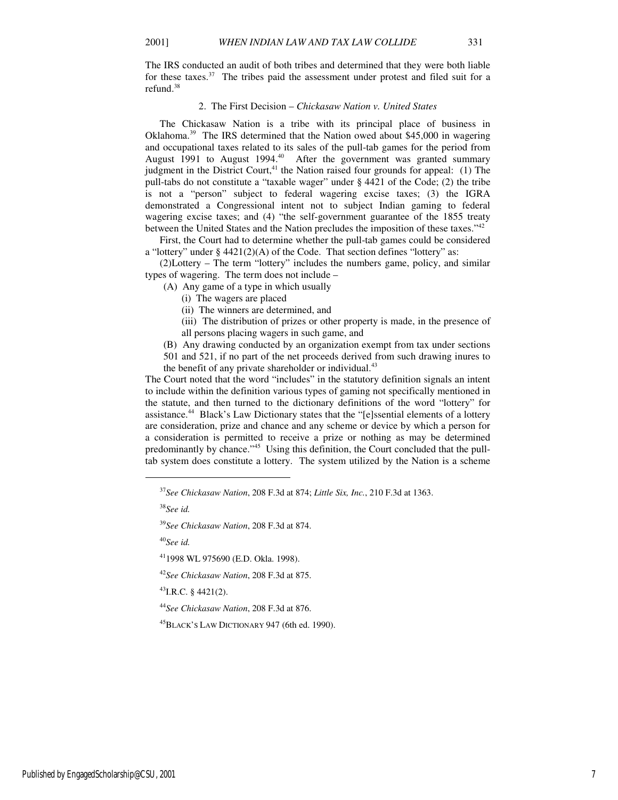The IRS conducted an audit of both tribes and determined that they were both liable for these taxes.<sup>37</sup> The tribes paid the assessment under protest and filed suit for a refund.<sup>38</sup>

## 2. The First Decision – *Chickasaw Nation v. United States*

The Chickasaw Nation is a tribe with its principal place of business in Oklahoma.<sup>39</sup> The IRS determined that the Nation owed about \$45,000 in wagering and occupational taxes related to its sales of the pull-tab games for the period from August 1991 to August 1994.<sup>40</sup> After the government was granted summary judgment in the District Court, $41$  the Nation raised four grounds for appeal: (1) The pull-tabs do not constitute a "taxable wager" under § 4421 of the Code; (2) the tribe is not a "person" subject to federal wagering excise taxes; (3) the IGRA demonstrated a Congressional intent not to subject Indian gaming to federal wagering excise taxes; and (4) "the self-government guarantee of the 1855 treaty between the United States and the Nation precludes the imposition of these taxes."<sup>42</sup>

First, the Court had to determine whether the pull-tab games could be considered a "lottery" under § 4421(2)(A) of the Code. That section defines "lottery" as:

(2)Lottery – The term "lottery" includes the numbers game, policy, and similar types of wagering. The term does not include –

(A) Any game of a type in which usually

(i) The wagers are placed

(ii) The winners are determined, and

(iii) The distribution of prizes or other property is made, in the presence of all persons placing wagers in such game, and

(B) Any drawing conducted by an organization exempt from tax under sections 501 and 521, if no part of the net proceeds derived from such drawing inures to the benefit of any private shareholder or individual.<sup>43</sup>

The Court noted that the word "includes" in the statutory definition signals an intent to include within the definition various types of gaming not specifically mentioned in the statute, and then turned to the dictionary definitions of the word "lottery" for assistance.<sup>44</sup> Black's Law Dictionary states that the "[e]ssential elements of a lottery are consideration, prize and chance and any scheme or device by which a person for a consideration is permitted to receive a prize or nothing as may be determined predominantly by chance."<sup>45</sup> Using this definition, the Court concluded that the pulltab system does constitute a lottery. The system utilized by the Nation is a scheme

<sup>38</sup>*See id.* 

1

<sup>39</sup>*See Chickasaw Nation*, 208 F.3d at 874.

<sup>40</sup>*See id.* 

 $^{43}$ I.R.C. § 4421(2).

<sup>44</sup>*See Chickasaw Nation*, 208 F.3d at 876.

<sup>45</sup>BLACK'S LAW DICTIONARY 947 (6th ed. 1990).

<sup>37</sup>*See Chickasaw Nation*, 208 F.3d at 874; *Little Six, Inc.*, 210 F.3d at 1363.

<sup>41</sup>1998 WL 975690 (E.D. Okla. 1998).

<sup>42</sup>*See Chickasaw Nation*, 208 F.3d at 875.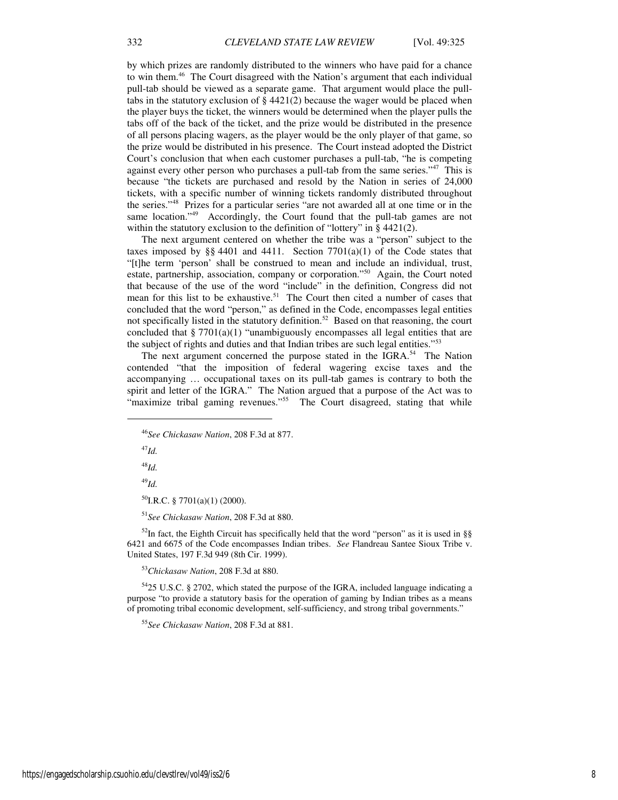by which prizes are randomly distributed to the winners who have paid for a chance to win them.<sup>46</sup> The Court disagreed with the Nation's argument that each individual pull-tab should be viewed as a separate game. That argument would place the pulltabs in the statutory exclusion of § 4421(2) because the wager would be placed when the player buys the ticket, the winners would be determined when the player pulls the tabs off of the back of the ticket, and the prize would be distributed in the presence of all persons placing wagers, as the player would be the only player of that game, so the prize would be distributed in his presence. The Court instead adopted the District Court's conclusion that when each customer purchases a pull-tab, "he is competing against every other person who purchases a pull-tab from the same series."<sup>47</sup> This is because "the tickets are purchased and resold by the Nation in series of 24,000 tickets, with a specific number of winning tickets randomly distributed throughout the series."<sup>48</sup> Prizes for a particular series "are not awarded all at one time or in the same location."<sup>49</sup> Accordingly, the Court found that the pull-tab games are not within the statutory exclusion to the definition of "lottery" in § 4421(2).

The next argument centered on whether the tribe was a "person" subject to the taxes imposed by  $\S$  4401 and 4411. Section 7701(a)(1) of the Code states that "[t]he term 'person' shall be construed to mean and include an individual, trust, estate, partnership, association, company or corporation."<sup>50</sup> Again, the Court noted that because of the use of the word "include" in the definition, Congress did not mean for this list to be exhaustive.<sup>51</sup> The Court then cited a number of cases that concluded that the word "person," as defined in the Code, encompasses legal entities not specifically listed in the statutory definition.<sup>52</sup> Based on that reasoning, the court concluded that  $\S 7701(a)(1)$  "unambiguously encompasses all legal entities that are the subject of rights and duties and that Indian tribes are such legal entities."<sup>53</sup>

The next argument concerned the purpose stated in the IGRA.<sup>54</sup> The Nation contended "that the imposition of federal wagering excise taxes and the accompanying … occupational taxes on its pull-tab games is contrary to both the spirit and letter of the IGRA." The Nation argued that a purpose of the Act was to "maximize tribal gaming revenues."<sup>55</sup> The Court disagreed, stating that while

<sup>46</sup>*See Chickasaw Nation*, 208 F.3d at 877.

<sup>47</sup>*Id.*

j

<sup>48</sup>*Id.*

<sup>49</sup>*Id.* 

 $^{50}$ I.R.C. § 7701(a)(1) (2000).

<sup>51</sup>*See Chickasaw Nation*, 208 F.3d at 880.

 $52$ In fact, the Eighth Circuit has specifically held that the word "person" as it is used in §§ 6421 and 6675 of the Code encompasses Indian tribes. *See* Flandreau Santee Sioux Tribe v. United States, 197 F.3d 949 (8th Cir. 1999).

<sup>53</sup>*Chickasaw Nation*, 208 F.3d at 880.

<sup>54</sup>25 U.S.C. § 2702, which stated the purpose of the IGRA, included language indicating a purpose "to provide a statutory basis for the operation of gaming by Indian tribes as a means of promoting tribal economic development, self-sufficiency, and strong tribal governments."

<sup>55</sup>*See Chickasaw Nation*, 208 F.3d at 881.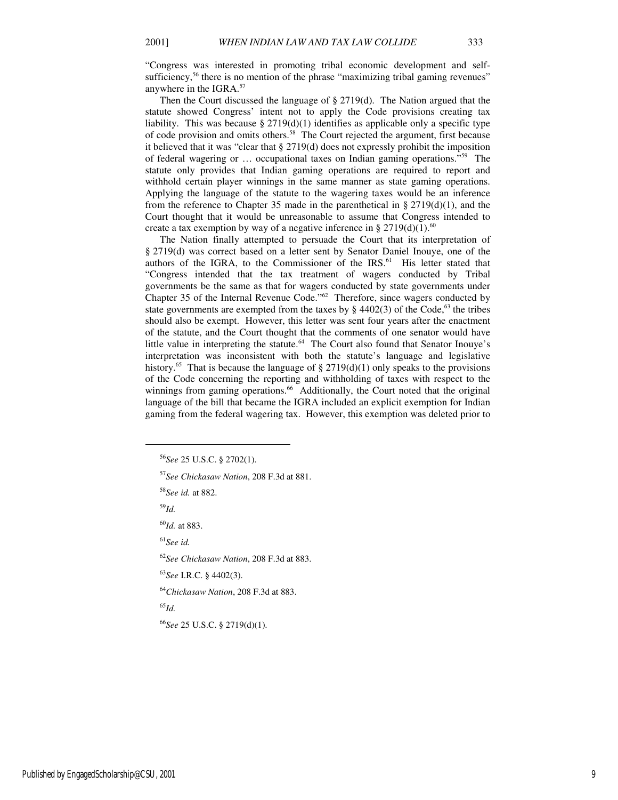"Congress was interested in promoting tribal economic development and selfsufficiency,<sup>56</sup> there is no mention of the phrase "maximizing tribal gaming revenues" anywhere in the IGRA.<sup>57</sup>

Then the Court discussed the language of § 2719(d). The Nation argued that the statute showed Congress' intent not to apply the Code provisions creating tax liability. This was because  $\S 2719(d)(1)$  identifies as applicable only a specific type of code provision and omits others.<sup>58</sup> The Court rejected the argument, first because it believed that it was "clear that § 2719(d) does not expressly prohibit the imposition of federal wagering or … occupational taxes on Indian gaming operations."<sup>59</sup> The statute only provides that Indian gaming operations are required to report and withhold certain player winnings in the same manner as state gaming operations. Applying the language of the statute to the wagering taxes would be an inference from the reference to Chapter 35 made in the parenthetical in  $\S 2719(d)(1)$ , and the Court thought that it would be unreasonable to assume that Congress intended to create a tax exemption by way of a negative inference in § 2719(d)(1).<sup>60</sup>

The Nation finally attempted to persuade the Court that its interpretation of § 2719(d) was correct based on a letter sent by Senator Daniel Inouye, one of the authors of the IGRA, to the Commissioner of the IRS.<sup>61</sup> His letter stated that "Congress intended that the tax treatment of wagers conducted by Tribal governments be the same as that for wagers conducted by state governments under Chapter 35 of the Internal Revenue Code."<sup>62</sup> Therefore, since wagers conducted by state governments are exempted from the taxes by  $\S$  4402(3) of the Code,<sup>63</sup> the tribes should also be exempt. However, this letter was sent four years after the enactment of the statute, and the Court thought that the comments of one senator would have little value in interpreting the statute.<sup>64</sup> The Court also found that Senator Inouye's interpretation was inconsistent with both the statute's language and legislative history.<sup>65</sup> That is because the language of  $\S 2719(d)(1)$  only speaks to the provisions of the Code concerning the reporting and withholding of taxes with respect to the winnings from gaming operations.<sup>66</sup> Additionally, the Court noted that the original language of the bill that became the IGRA included an explicit exemption for Indian gaming from the federal wagering tax. However, this exemption was deleted prior to

<sup>59</sup>*Id.*

j

<sup>60</sup>*Id.* at 883.

<sup>61</sup>*See id.* 

<sup>62</sup>*See Chickasaw Nation*, 208 F.3d at 883.

<sup>63</sup>*See* I.R.C. § 4402(3).

<sup>64</sup>*Chickasaw Nation*, 208 F.3d at 883.

<sup>65</sup>*Id.* 

<sup>66</sup>*See* 25 U.S.C. § 2719(d)(1).

<sup>56</sup>*See* 25 U.S.C. § 2702(1).

<sup>57</sup>*See Chickasaw Nation*, 208 F.3d at 881.

<sup>58</sup>*See id.* at 882.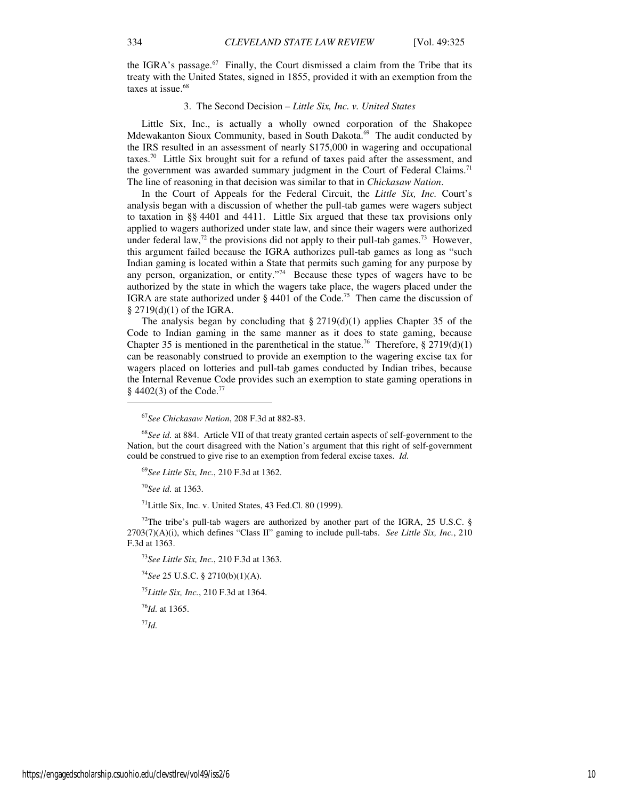the IGRA's passage.<sup>67</sup> Finally, the Court dismissed a claim from the Tribe that its treaty with the United States, signed in 1855, provided it with an exemption from the taxes at issue.<sup>68</sup>

### 3. The Second Decision – *Little Six, Inc. v. United States*

Little Six, Inc., is actually a wholly owned corporation of the Shakopee Mdewakanton Sioux Community, based in South Dakota.<sup>69</sup> The audit conducted by the IRS resulted in an assessment of nearly \$175,000 in wagering and occupational taxes.<sup>70</sup> Little Six brought suit for a refund of taxes paid after the assessment, and the government was awarded summary judgment in the Court of Federal Claims.<sup>71</sup> The line of reasoning in that decision was similar to that in *Chickasaw Nation*.

In the Court of Appeals for the Federal Circuit, the *Little Six, Inc.* Court's analysis began with a discussion of whether the pull-tab games were wagers subject to taxation in §§ 4401 and 4411. Little Six argued that these tax provisions only applied to wagers authorized under state law, and since their wagers were authorized under federal law,<sup>72</sup> the provisions did not apply to their pull-tab games.<sup>73</sup> However, this argument failed because the IGRA authorizes pull-tab games as long as "such Indian gaming is located within a State that permits such gaming for any purpose by any person, organization, or entity."<sup>74</sup> Because these types of wagers have to be authorized by the state in which the wagers take place, the wagers placed under the IGRA are state authorized under  $\S$  4401 of the Code.<sup>75</sup> Then came the discussion of § 2719(d)(1) of the IGRA.

The analysis began by concluding that  $\S 2719(d)(1)$  applies Chapter 35 of the Code to Indian gaming in the same manner as it does to state gaming, because Chapter 35 is mentioned in the parenthetical in the statue.<sup>76</sup> Therefore,  $\S 2719(d)(1)$ can be reasonably construed to provide an exemption to the wagering excise tax for wagers placed on lotteries and pull-tab games conducted by Indian tribes, because the Internal Revenue Code provides such an exemption to state gaming operations in § 4402(3) of the Code.<sup>77</sup>

<sup>68</sup>See id. at 884. Article VII of that treaty granted certain aspects of self-government to the Nation, but the court disagreed with the Nation's argument that this right of self-government could be construed to give rise to an exemption from federal excise taxes. *Id.*

<sup>69</sup>*See Little Six, Inc.*, 210 F.3d at 1362.

<sup>70</sup>*See id.* at 1363.

j

<sup>71</sup>Little Six, Inc. v. United States, 43 Fed.Cl. 80 (1999).

 $72$ The tribe's pull-tab wagers are authorized by another part of the IGRA, 25 U.S.C. § 2703(7)(A)(i), which defines "Class II" gaming to include pull-tabs. *See Little Six, Inc.*, 210 F.3d at 1363.

<sup>73</sup>*See Little Six, Inc.*, 210 F.3d at 1363.

<sup>74</sup>*See* 25 U.S.C. § 2710(b)(1)(A).

<sup>75</sup>*Little Six, Inc.*, 210 F.3d at 1364.

<sup>76</sup>*Id.* at 1365.

<sup>77</sup>*Id.* 

<sup>67</sup>*See Chickasaw Nation*, 208 F.3d at 882-83.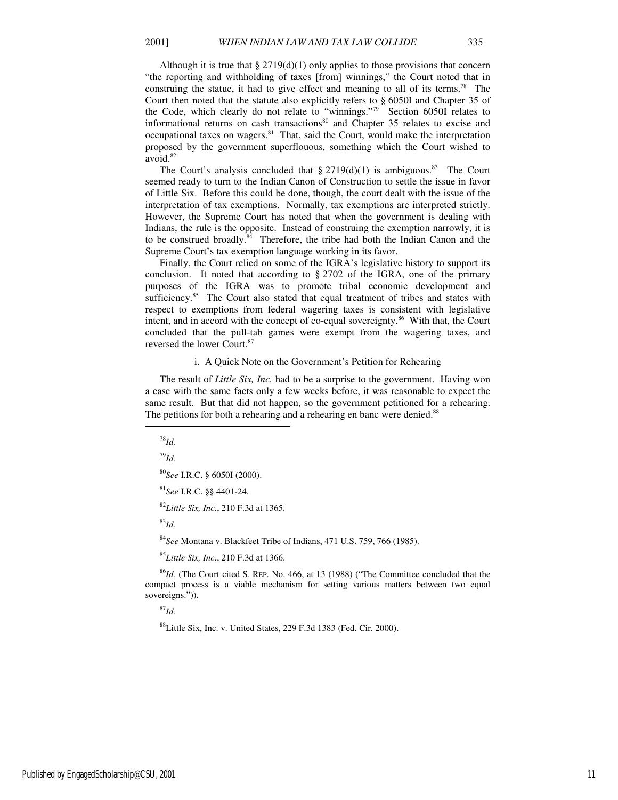Although it is true that  $\S 2719(d)(1)$  only applies to those provisions that concern "the reporting and withholding of taxes [from] winnings," the Court noted that in construing the statue, it had to give effect and meaning to all of its terms.<sup>78</sup> The Court then noted that the statute also explicitly refers to § 6050I and Chapter 35 of the Code, which clearly do not relate to "winnings."<sup>79</sup> Section 6050I relates to informational returns on cash transactions $80$  and Chapter 35 relates to excise and occupational taxes on wagers. $81$  That, said the Court, would make the interpretation proposed by the government superflouous, something which the Court wished to avoid.<sup>82</sup>

The Court's analysis concluded that  $\S 2719(d)(1)$  is ambiguous.<sup>83</sup> The Court seemed ready to turn to the Indian Canon of Construction to settle the issue in favor of Little Six. Before this could be done, though, the court dealt with the issue of the interpretation of tax exemptions. Normally, tax exemptions are interpreted strictly. However, the Supreme Court has noted that when the government is dealing with Indians, the rule is the opposite. Instead of construing the exemption narrowly, it is to be construed broadly.<sup>84</sup> Therefore, the tribe had both the Indian Canon and the Supreme Court's tax exemption language working in its favor.

Finally, the Court relied on some of the IGRA's legislative history to support its conclusion. It noted that according to § 2702 of the IGRA, one of the primary purposes of the IGRA was to promote tribal economic development and sufficiency.<sup>85</sup> The Court also stated that equal treatment of tribes and states with respect to exemptions from federal wagering taxes is consistent with legislative intent, and in accord with the concept of co-equal sovereignty.<sup>86</sup> With that, the Court concluded that the pull-tab games were exempt from the wagering taxes, and reversed the lower Court.<sup>87</sup>

#### i. A Quick Note on the Government's Petition for Rehearing

The result of *Little Six, Inc.* had to be a surprise to the government. Having won a case with the same facts only a few weeks before, it was reasonable to expect the same result. But that did not happen, so the government petitioned for a rehearing. The petitions for both a rehearing and a rehearing en banc were denied.<sup>88</sup>

 $\overline{a}$ 

<sup>79</sup>*Id.*

<sup>80</sup>*See* I.R.C. § 6050I (2000).

<sup>81</sup>*See* I.R.C. §§ 4401-24.

<sup>82</sup>*Little Six, Inc.*, 210 F.3d at 1365.

<sup>83</sup>*Id.* 

<sup>84</sup>*See* Montana v. Blackfeet Tribe of Indians, 471 U.S. 759, 766 (1985).

<sup>85</sup>*Little Six, Inc.*, 210 F.3d at 1366.

<sup>86</sup>*Id.* (The Court cited S. REP. No. 466, at 13 (1988) ("The Committee concluded that the compact process is a viable mechanism for setting various matters between two equal sovereigns.")).

 $^{87}$ *Id.* 

<sup>88</sup>Little Six, Inc. v. United States, 229 F.3d 1383 (Fed. Cir. 2000).

<sup>78</sup>*Id.*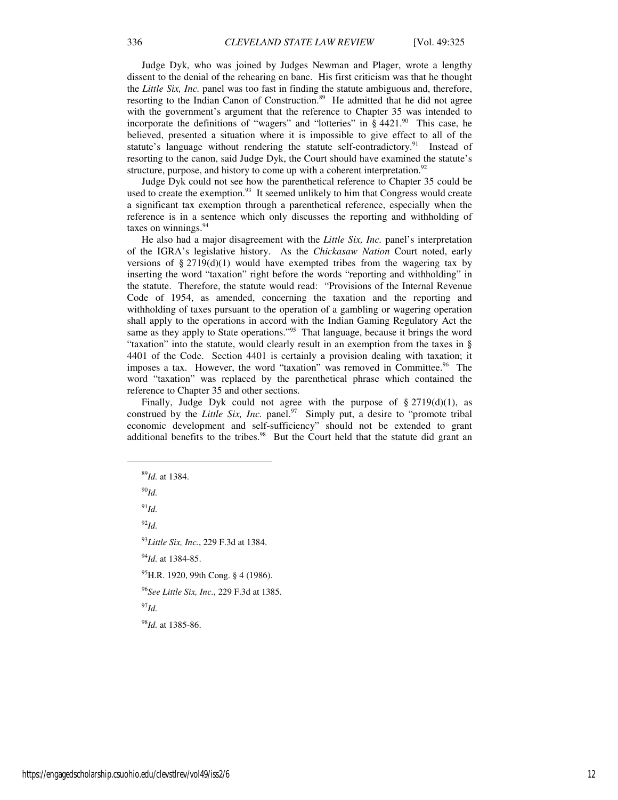Judge Dyk, who was joined by Judges Newman and Plager, wrote a lengthy dissent to the denial of the rehearing en banc. His first criticism was that he thought the *Little Six, Inc.* panel was too fast in finding the statute ambiguous and, therefore, resorting to the Indian Canon of Construction.<sup>89</sup> He admitted that he did not agree with the government's argument that the reference to Chapter 35 was intended to incorporate the definitions of "wagers" and "lotteries" in  $\S$  4421.<sup>90</sup> This case, he believed, presented a situation where it is impossible to give effect to all of the statute's language without rendering the statute self-contradictory.<sup>91</sup> Instead of resorting to the canon, said Judge Dyk, the Court should have examined the statute's structure, purpose, and history to come up with a coherent interpretation.<sup>92</sup>

Judge Dyk could not see how the parenthetical reference to Chapter 35 could be used to create the exemption. $93$  It seemed unlikely to him that Congress would create a significant tax exemption through a parenthetical reference, especially when the reference is in a sentence which only discusses the reporting and withholding of taxes on winnings.<sup>94</sup>

He also had a major disagreement with the *Little Six, Inc.* panel's interpretation of the IGRA's legislative history. As the *Chickasaw Nation* Court noted, early versions of  $\S 2719(d)(1)$  would have exempted tribes from the wagering tax by inserting the word "taxation" right before the words "reporting and withholding" in the statute. Therefore, the statute would read: "Provisions of the Internal Revenue Code of 1954, as amended, concerning the taxation and the reporting and withholding of taxes pursuant to the operation of a gambling or wagering operation shall apply to the operations in accord with the Indian Gaming Regulatory Act the same as they apply to State operations."<sup>95</sup> That language, because it brings the word "taxation" into the statute, would clearly result in an exemption from the taxes in § 4401 of the Code. Section 4401 is certainly a provision dealing with taxation; it imposes a tax. However, the word "taxation" was removed in Committee.<sup>96</sup> The word "taxation" was replaced by the parenthetical phrase which contained the reference to Chapter 35 and other sections.

Finally, Judge Dyk could not agree with the purpose of  $\S 2719(d)(1)$ , as construed by the *Little Six, Inc.* panel.<sup>97</sup> Simply put, a desire to "promote tribal" economic development and self-sufficiency" should not be extended to grant additional benefits to the tribes. $98$  But the Court held that the statute did grant an

<sup>90</sup>*Id.* 

 $91$ *Id.* 

 $\overline{a}$ 

<sup>92</sup>*Id.* 

<sup>93</sup>*Little Six, Inc.*, 229 F.3d at 1384.

<sup>94</sup>*Id.* at 1384-85.

<sup>95</sup>H.R. 1920, 99th Cong. § 4 (1986).

<sup>96</sup>*See Little Six, Inc.*, 229 F.3d at 1385.

<sup>97</sup>*Id.* 

<sup>98</sup>*Id.* at 1385-86.

<sup>89</sup>*Id.* at 1384.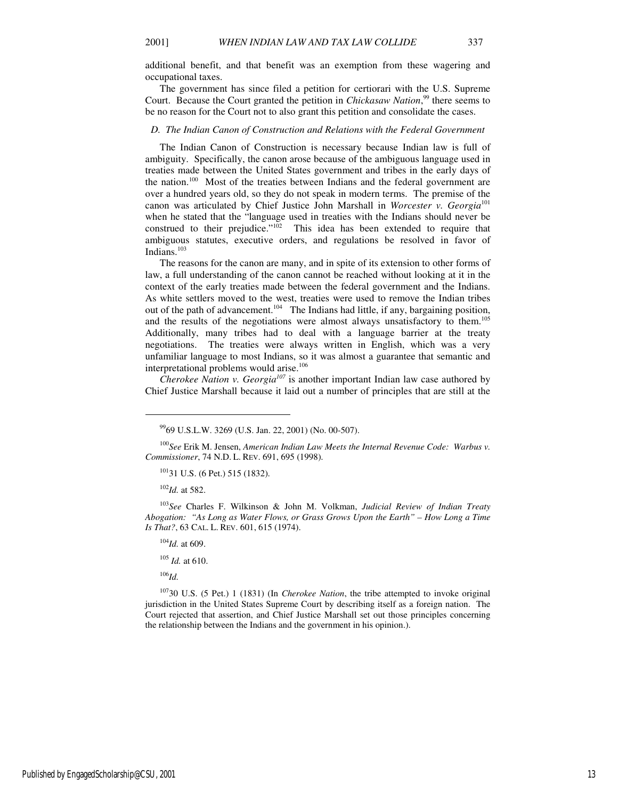additional benefit, and that benefit was an exemption from these wagering and occupational taxes.

The government has since filed a petition for certiorari with the U.S. Supreme Court. Because the Court granted the petition in *Chickasaw Nation*,<sup>99</sup> there seems to be no reason for the Court not to also grant this petition and consolidate the cases.

#### *D. The Indian Canon of Construction and Relations with the Federal Government*

The Indian Canon of Construction is necessary because Indian law is full of ambiguity. Specifically, the canon arose because of the ambiguous language used in treaties made between the United States government and tribes in the early days of the nation.<sup>100</sup> Most of the treaties between Indians and the federal government are over a hundred years old, so they do not speak in modern terms. The premise of the canon was articulated by Chief Justice John Marshall in *Worcester v. Georgia*<sup>101</sup> when he stated that the "language used in treaties with the Indians should never be construed to their prejudice." $102$  This idea has been extended to require that ambiguous statutes, executive orders, and regulations be resolved in favor of Indians.<sup>103</sup>

The reasons for the canon are many, and in spite of its extension to other forms of law, a full understanding of the canon cannot be reached without looking at it in the context of the early treaties made between the federal government and the Indians. As white settlers moved to the west, treaties were used to remove the Indian tribes out of the path of advancement.<sup>104</sup> The Indians had little, if any, bargaining position, and the results of the negotiations were almost always unsatisfactory to them.<sup>105</sup> Additionally, many tribes had to deal with a language barrier at the treaty negotiations. The treaties were always written in English, which was a very unfamiliar language to most Indians, so it was almost a guarantee that semantic and interpretational problems would arise.<sup>106</sup>

*Cherokee Nation v. Georgia<sup>107</sup>* is another important Indian law case authored by Chief Justice Marshall because it laid out a number of principles that are still at the

<sup>102</sup>*Id.* at 582.

 $\overline{a}$ 

<sup>103</sup>*See* Charles F. Wilkinson & John M. Volkman, *Judicial Review of Indian Treaty Abogation: "As Long as Water Flows, or Grass Grows Upon the Earth" – How Long a Time Is That?*, 63 CAL. L. REV. 601, 615 (1974).

<sup>104</sup>*Id.* at 609.

<sup>105</sup> *Id.* at 610.

 $^{106}$ *Id.* 

<sup>107</sup>30 U.S. (5 Pet.) 1 (1831) (In *Cherokee Nation*, the tribe attempted to invoke original jurisdiction in the United States Supreme Court by describing itself as a foreign nation. The Court rejected that assertion, and Chief Justice Marshall set out those principles concerning the relationship between the Indians and the government in his opinion.).

<sup>99</sup>69 U.S.L.W. 3269 (U.S. Jan. 22, 2001) (No. 00-507).

<sup>100</sup>*See* Erik M. Jensen, *American Indian Law Meets the Internal Revenue Code: Warbus v. Commissioner*, 74 N.D. L. REV. 691, 695 (1998).

<sup>101</sup>31 U.S. (6 Pet.) 515 (1832).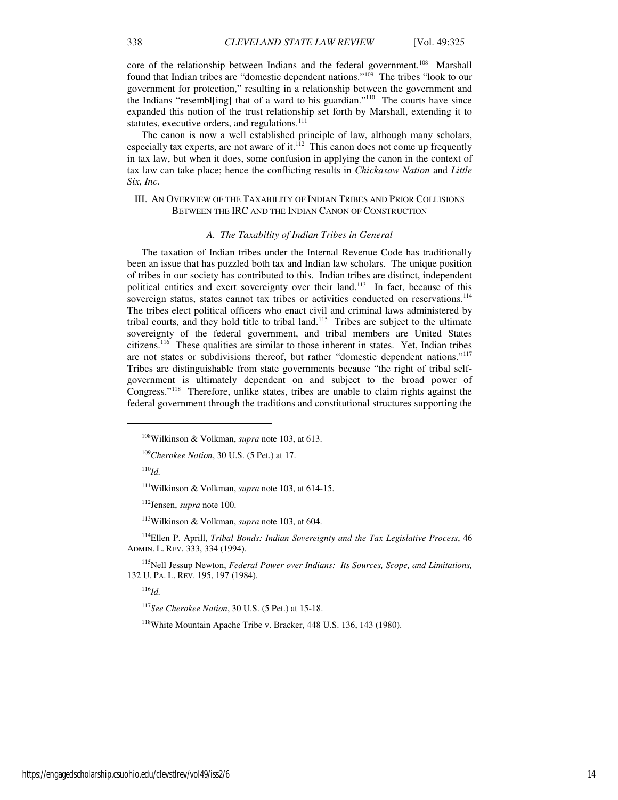core of the relationship between Indians and the federal government.<sup>108</sup> Marshall found that Indian tribes are "domestic dependent nations."<sup>109</sup> The tribes "look to our government for protection," resulting in a relationship between the government and the Indians "resembl[ing] that of a ward to his guardian."<sup>110</sup> The courts have since expanded this notion of the trust relationship set forth by Marshall, extending it to statutes, executive orders, and regulations.<sup>111</sup>

The canon is now a well established principle of law, although many scholars, especially tax experts, are not aware of it.<sup>112</sup> This canon does not come up frequently in tax law, but when it does, some confusion in applying the canon in the context of tax law can take place; hence the conflicting results in *Chickasaw Nation* and *Little Six, Inc.*

## III. AN OVERVIEW OF THE TAXABILITY OF INDIAN TRIBES AND PRIOR COLLISIONS BETWEEN THE IRC AND THE INDIAN CANON OF CONSTRUCTION

#### *A. The Taxability of Indian Tribes in General*

The taxation of Indian tribes under the Internal Revenue Code has traditionally been an issue that has puzzled both tax and Indian law scholars. The unique position of tribes in our society has contributed to this. Indian tribes are distinct, independent political entities and exert sovereignty over their land.<sup>113</sup> In fact, because of this sovereign status, states cannot tax tribes or activities conducted on reservations.<sup>114</sup> The tribes elect political officers who enact civil and criminal laws administered by tribal courts, and they hold title to tribal land.<sup>115</sup> Tribes are subject to the ultimate sovereignty of the federal government, and tribal members are United States citizens.<sup>116</sup> These qualities are similar to those inherent in states. Yet, Indian tribes are not states or subdivisions thereof, but rather "domestic dependent nations."<sup>117</sup> Tribes are distinguishable from state governments because "the right of tribal selfgovernment is ultimately dependent on and subject to the broad power of Congress."<sup>118</sup> Therefore, unlike states, tribes are unable to claim rights against the federal government through the traditions and constitutional structures supporting the

 $^{110}$ *Id.* 

j

<sup>115</sup>Nell Jessup Newton, *Federal Power over Indians: Its Sources, Scope, and Limitations,* 132 U. PA. L. REV. 195, 197 (1984).

 $^{116}$ *Id.* 

<sup>117</sup>*See Cherokee Nation*, 30 U.S. (5 Pet.) at 15-18.

<sup>118</sup>White Mountain Apache Tribe v. Bracker, 448 U.S. 136, 143 (1980).

<sup>108</sup>Wilkinson & Volkman, *supra* note 103, at 613.

<sup>109</sup>*Cherokee Nation*, 30 U.S. (5 Pet.) at 17.

<sup>111</sup>Wilkinson & Volkman, *supra* note 103, at 614-15.

<sup>112</sup>Jensen, *supra* note 100.

<sup>113</sup>Wilkinson & Volkman, *supra* note 103, at 604.

<sup>114</sup>Ellen P. Aprill, *Tribal Bonds: Indian Sovereignty and the Tax Legislative Process*, 46 ADMIN. L. REV. 333, 334 (1994).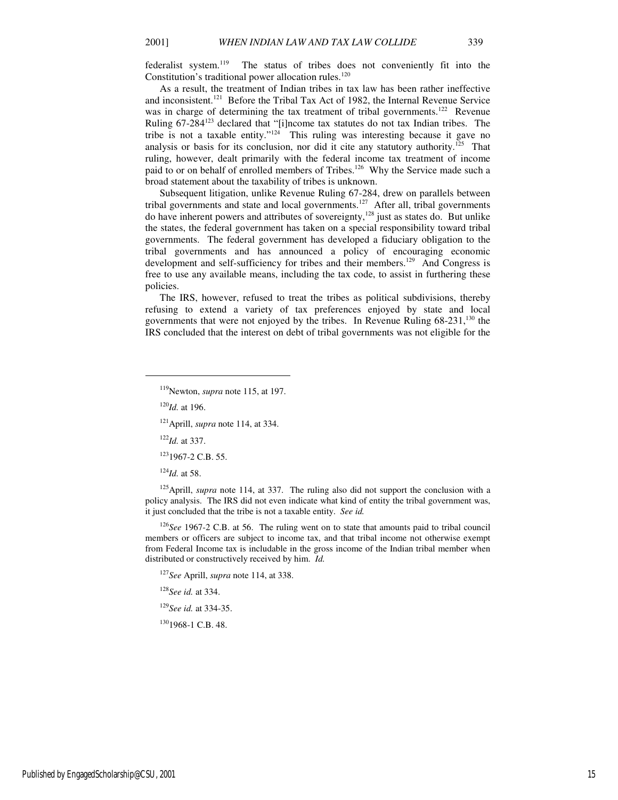As a result, the treatment of Indian tribes in tax law has been rather ineffective and inconsistent.<sup>121</sup> Before the Tribal Tax Act of 1982, the Internal Revenue Service was in charge of determining the tax treatment of tribal governments.<sup>122</sup> Revenue Ruling 67-284<sup>123</sup> declared that "[i]ncome tax statutes do not tax Indian tribes. The tribe is not a taxable entity."<sup>124</sup> This ruling was interesting because it gave no analysis or basis for its conclusion, nor did it cite any statutory authority.<sup>125</sup> That ruling, however, dealt primarily with the federal income tax treatment of income paid to or on behalf of enrolled members of Tribes.<sup>126</sup> Why the Service made such a broad statement about the taxability of tribes is unknown.

Subsequent litigation, unlike Revenue Ruling 67-284, drew on parallels between tribal governments and state and local governments.<sup>127</sup> After all, tribal governments do have inherent powers and attributes of sovereignty,<sup>128</sup> just as states do. But unlike the states, the federal government has taken on a special responsibility toward tribal governments. The federal government has developed a fiduciary obligation to the tribal governments and has announced a policy of encouraging economic development and self-sufficiency for tribes and their members.<sup>129</sup> And Congress is free to use any available means, including the tax code, to assist in furthering these policies.

The IRS, however, refused to treat the tribes as political subdivisions, thereby refusing to extend a variety of tax preferences enjoyed by state and local governments that were not enjoyed by the tribes. In Revenue Ruling  $68-231$ ,<sup>130</sup> the IRS concluded that the interest on debt of tribal governments was not eligible for the

<sup>120</sup>*Id.* at 196.

 $\overline{a}$ 

<sup>121</sup>Aprill, *supra* note 114, at 334.

<sup>122</sup>*Id.* at 337.

<sup>123</sup>1967-2 C.B. 55.

<sup>124</sup>*Id.* at 58.

<sup>125</sup>Aprill, *supra* note 114, at 337. The ruling also did not support the conclusion with a policy analysis. The IRS did not even indicate what kind of entity the tribal government was, it just concluded that the tribe is not a taxable entity. *See id.*

<sup>126</sup>*See* 1967-2 C.B. at 56. The ruling went on to state that amounts paid to tribal council members or officers are subject to income tax, and that tribal income not otherwise exempt from Federal Income tax is includable in the gross income of the Indian tribal member when distributed or constructively received by him. *Id.* 

<sup>127</sup>*See* Aprill, *supra* note 114, at 338.

<sup>128</sup>*See id.* at 334.

<sup>129</sup>*See id.* at 334-35.

<sup>130</sup>1968-1 C.B. 48.

<sup>119</sup>Newton, *supra* note 115, at 197.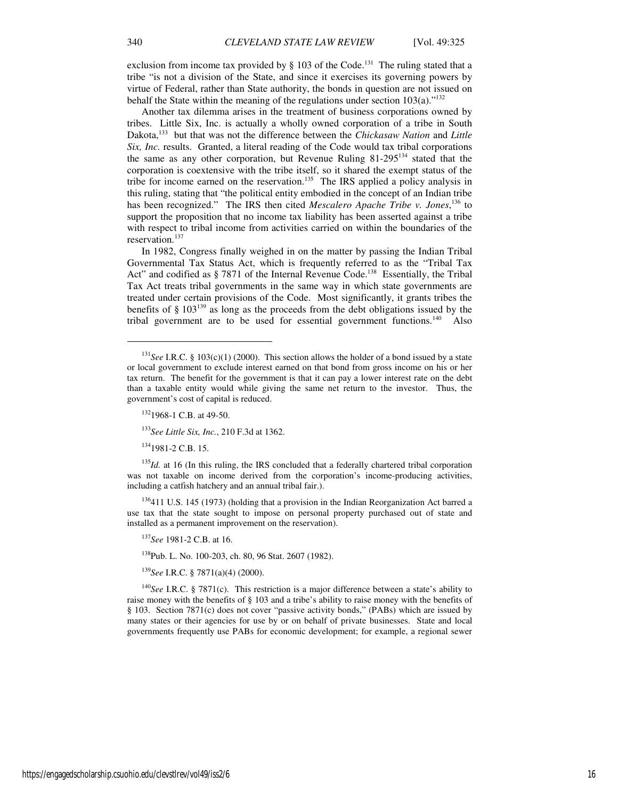exclusion from income tax provided by § 103 of the Code.<sup>131</sup> The ruling stated that a tribe "is not a division of the State, and since it exercises its governing powers by virtue of Federal, rather than State authority, the bonds in question are not issued on behalf the State within the meaning of the regulations under section  $103(a)$ ."<sup>132</sup>

Another tax dilemma arises in the treatment of business corporations owned by tribes. Little Six, Inc. is actually a wholly owned corporation of a tribe in South Dakota,<sup>133</sup> but that was not the difference between the *Chickasaw Nation* and *Little Six, Inc.* results. Granted, a literal reading of the Code would tax tribal corporations the same as any other corporation, but Revenue Ruling 81-295<sup>134</sup> stated that the corporation is coextensive with the tribe itself, so it shared the exempt status of the tribe for income earned on the reservation.<sup>135</sup> The IRS applied a policy analysis in this ruling, stating that "the political entity embodied in the concept of an Indian tribe has been recognized." The IRS then cited *Mescalero Apache Tribe v. Jones*,<sup>136</sup> to support the proposition that no income tax liability has been asserted against a tribe with respect to tribal income from activities carried on within the boundaries of the reservation.<sup>137</sup>

In 1982, Congress finally weighed in on the matter by passing the Indian Tribal Governmental Tax Status Act, which is frequently referred to as the "Tribal Tax Act" and codified as § 7871 of the Internal Revenue Code.<sup>138</sup> Essentially, the Tribal Tax Act treats tribal governments in the same way in which state governments are treated under certain provisions of the Code. Most significantly, it grants tribes the benefits of § 103<sup>139</sup> as long as the proceeds from the debt obligations issued by the tribal government are to be used for essential government functions.<sup>140</sup> Also

<sup>133</sup>*See Little Six, Inc.*, 210 F.3d at 1362.

 $134$ 1981-2 C.B. 15.

1

<sup>135</sup>*Id.* at 16 (In this ruling, the IRS concluded that a federally chartered tribal corporation was not taxable on income derived from the corporation's income-producing activities, including a catfish hatchery and an annual tribal fair.).

<sup>136</sup>411 U.S. 145 (1973) (holding that a provision in the Indian Reorganization Act barred a use tax that the state sought to impose on personal property purchased out of state and installed as a permanent improvement on the reservation).

<sup>137</sup>*See* 1981-2 C.B. at 16.

<sup>138</sup>Pub. L. No. 100-203, ch. 80, 96 Stat. 2607 (1982).

<sup>139</sup>*See* I.R.C. § 7871(a)(4) (2000).

<sup>140</sup>*See* I.R.C. § 7871(c). This restriction is a major difference between a state's ability to raise money with the benefits of § 103 and a tribe's ability to raise money with the benefits of § 103. Section 7871(c) does not cover "passive activity bonds," (PABs) which are issued by many states or their agencies for use by or on behalf of private businesses. State and local governments frequently use PABs for economic development; for example, a regional sewer

<sup>&</sup>lt;sup>131</sup>See I.R.C. § 103(c)(1) (2000). This section allows the holder of a bond issued by a state or local government to exclude interest earned on that bond from gross income on his or her tax return. The benefit for the government is that it can pay a lower interest rate on the debt than a taxable entity would while giving the same net return to the investor. Thus, the government's cost of capital is reduced.

 $132$ 1968-1 C.B. at 49-50.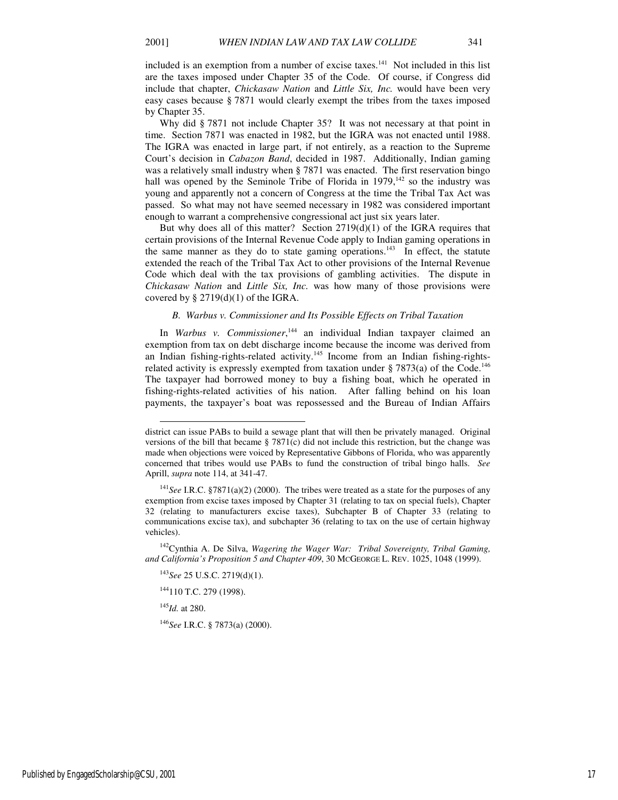included is an exemption from a number of excise taxes.<sup>141</sup> Not included in this list are the taxes imposed under Chapter 35 of the Code. Of course, if Congress did include that chapter, *Chickasaw Nation* and *Little Six, Inc.* would have been very easy cases because § 7871 would clearly exempt the tribes from the taxes imposed by Chapter 35.

Why did § 7871 not include Chapter 35? It was not necessary at that point in time. Section 7871 was enacted in 1982, but the IGRA was not enacted until 1988. The IGRA was enacted in large part, if not entirely, as a reaction to the Supreme Court's decision in *Cabazon Band*, decided in 1987. Additionally, Indian gaming was a relatively small industry when § 7871 was enacted. The first reservation bingo hall was opened by the Seminole Tribe of Florida in  $1979$ ,<sup>142</sup> so the industry was young and apparently not a concern of Congress at the time the Tribal Tax Act was passed. So what may not have seemed necessary in 1982 was considered important enough to warrant a comprehensive congressional act just six years later.

But why does all of this matter? Section 2719(d)(1) of the IGRA requires that certain provisions of the Internal Revenue Code apply to Indian gaming operations in the same manner as they do to state gaming operations.<sup>143</sup> In effect, the statute extended the reach of the Tribal Tax Act to other provisions of the Internal Revenue Code which deal with the tax provisions of gambling activities. The dispute in *Chickasaw Nation* and *Little Six, Inc.* was how many of those provisions were covered by  $\S 2719(d)(1)$  of the IGRA.

## *B. Warbus v. Commissioner and Its Possible Effects on Tribal Taxation*

In *Warbus v. Commissioner*, <sup>144</sup> an individual Indian taxpayer claimed an exemption from tax on debt discharge income because the income was derived from an Indian fishing-rights-related activity.<sup>145</sup> Income from an Indian fishing-rightsrelated activity is expressly exempted from taxation under  $\S 7873(a)$  of the Code.<sup>146</sup> The taxpayer had borrowed money to buy a fishing boat, which he operated in fishing-rights-related activities of his nation. After falling behind on his loan payments, the taxpayer's boat was repossessed and the Bureau of Indian Affairs

<sup>142</sup>Cynthia A. De Silva, *Wagering the Wager War: Tribal Sovereignty, Tribal Gaming, and California's Proposition 5 and Chapter 409*, 30 MCGEORGE L. REV. 1025, 1048 (1999).

<sup>143</sup>*See* 25 U.S.C. 2719(d)(1).

<sup>144</sup>110 T.C. 279 (1998).

<sup>145</sup>*Id.* at 280.

l

<sup>146</sup>*See* I.R.C. § 7873(a) (2000).

district can issue PABs to build a sewage plant that will then be privately managed. Original versions of the bill that became  $\S 7871(c)$  did not include this restriction, but the change was made when objections were voiced by Representative Gibbons of Florida, who was apparently concerned that tribes would use PABs to fund the construction of tribal bingo halls. *See*  Aprill, *supra* note 114, at 341-47.

<sup>141</sup>*See* I.R.C. §7871(a)(2) (2000). The tribes were treated as a state for the purposes of any exemption from excise taxes imposed by Chapter 31 (relating to tax on special fuels), Chapter 32 (relating to manufacturers excise taxes), Subchapter B of Chapter 33 (relating to communications excise tax), and subchapter 36 (relating to tax on the use of certain highway vehicles).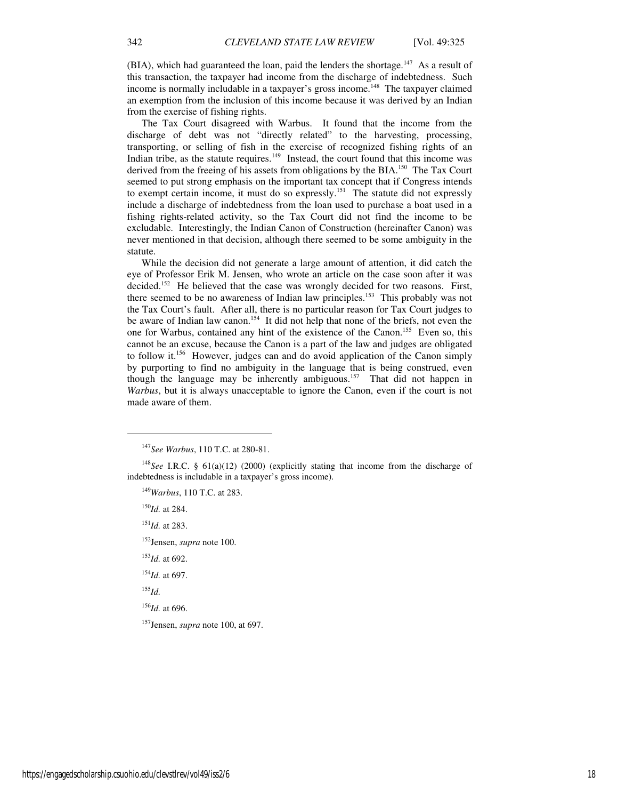(BIA), which had guaranteed the loan, paid the lenders the shortage.<sup>147</sup> As a result of this transaction, the taxpayer had income from the discharge of indebtedness. Such income is normally includable in a taxpayer's gross income.<sup>148</sup> The taxpayer claimed an exemption from the inclusion of this income because it was derived by an Indian from the exercise of fishing rights.

The Tax Court disagreed with Warbus. It found that the income from the discharge of debt was not "directly related" to the harvesting, processing, transporting, or selling of fish in the exercise of recognized fishing rights of an Indian tribe, as the statute requires. $149$  Instead, the court found that this income was derived from the freeing of his assets from obligations by the BIA.<sup>150</sup> The Tax Court seemed to put strong emphasis on the important tax concept that if Congress intends to exempt certain income, it must do so expressly.<sup>151</sup> The statute did not expressly include a discharge of indebtedness from the loan used to purchase a boat used in a fishing rights-related activity, so the Tax Court did not find the income to be excludable. Interestingly, the Indian Canon of Construction (hereinafter Canon) was never mentioned in that decision, although there seemed to be some ambiguity in the statute.

While the decision did not generate a large amount of attention, it did catch the eye of Professor Erik M. Jensen, who wrote an article on the case soon after it was decided.<sup>152</sup> He believed that the case was wrongly decided for two reasons. First, there seemed to be no awareness of Indian law principles.<sup>153</sup> This probably was not the Tax Court's fault. After all, there is no particular reason for Tax Court judges to be aware of Indian law canon.<sup>154</sup> It did not help that none of the briefs, not even the one for Warbus, contained any hint of the existence of the Canon.<sup>155</sup> Even so, this cannot be an excuse, because the Canon is a part of the law and judges are obligated to follow it.<sup>156</sup> However, judges can and do avoid application of the Canon simply by purporting to find no ambiguity in the language that is being construed, even though the language may be inherently ambiguous.<sup>157</sup> That did not happen in *Warbus*, but it is always unacceptable to ignore the Canon, even if the court is not made aware of them.

<sup>149</sup>*Warbus*, 110 T.C. at 283.

<sup>150</sup>*Id.* at 284. <sup>151</sup>*Id.* at 283.

<sup>152</sup>Jensen, *supra* note 100.

<sup>153</sup>*Id.* at 692.

<sup>154</sup>*Id.* at 697.

 $^{155}$ *Id.* 

 $\overline{a}$ 

<sup>156</sup>*Id.* at 696.

<sup>157</sup>Jensen, *supra* note 100, at 697.

<sup>147</sup>*See Warbus*, 110 T.C. at 280-81.

<sup>148</sup>*See* I.R.C. § 61(a)(12) (2000) (explicitly stating that income from the discharge of indebtedness is includable in a taxpayer's gross income).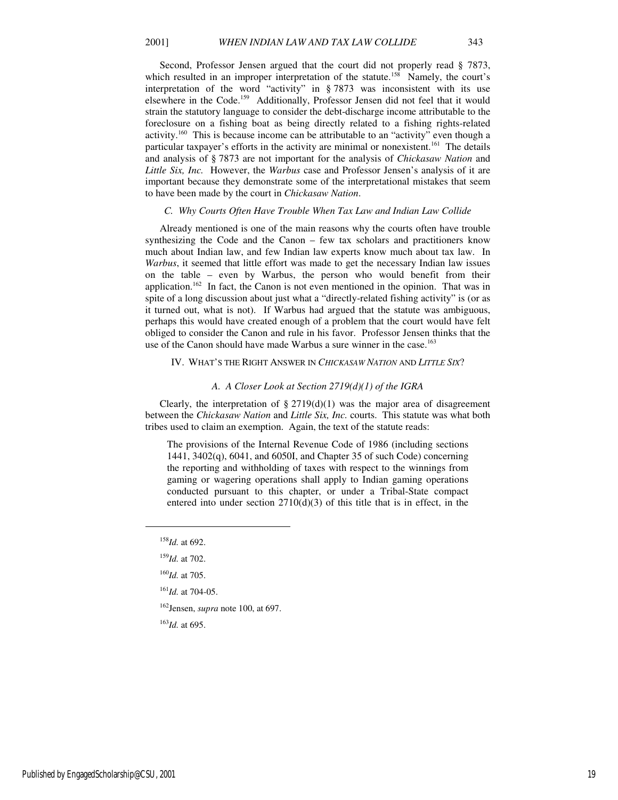Second, Professor Jensen argued that the court did not properly read § 7873, which resulted in an improper interpretation of the statute.<sup>158</sup> Namely, the court's interpretation of the word "activity" in § 7873 was inconsistent with its use elsewhere in the Code.<sup>159</sup> Additionally, Professor Jensen did not feel that it would strain the statutory language to consider the debt-discharge income attributable to the foreclosure on a fishing boat as being directly related to a fishing rights-related activity.<sup>160</sup> This is because income can be attributable to an "activity" even though a particular taxpayer's efforts in the activity are minimal or nonexistent.<sup>161</sup> The details and analysis of § 7873 are not important for the analysis of *Chickasaw Nation* and *Little Six, Inc.* However, the *Warbus* case and Professor Jensen's analysis of it are important because they demonstrate some of the interpretational mistakes that seem to have been made by the court in *Chickasaw Nation*.

#### *C. Why Courts Often Have Trouble When Tax Law and Indian Law Collide*

Already mentioned is one of the main reasons why the courts often have trouble synthesizing the Code and the Canon – few tax scholars and practitioners know much about Indian law, and few Indian law experts know much about tax law. In *Warbus*, it seemed that little effort was made to get the necessary Indian law issues on the table – even by Warbus, the person who would benefit from their application.<sup>162</sup> In fact, the Canon is not even mentioned in the opinion. That was in spite of a long discussion about just what a "directly-related fishing activity" is (or as it turned out, what is not). If Warbus had argued that the statute was ambiguous, perhaps this would have created enough of a problem that the court would have felt obliged to consider the Canon and rule in his favor. Professor Jensen thinks that the use of the Canon should have made Warbus a sure winner in the case.<sup>163</sup>

#### IV. WHAT'S THE RIGHT ANSWER IN *CHICKASAW NATION* AND *LITTLE SIX*?

#### *A. A Closer Look at Section 2719(d)(1) of the IGRA*

Clearly, the interpretation of  $\S 2719(d)(1)$  was the major area of disagreement between the *Chickasaw Nation* and *Little Six, Inc.* courts. This statute was what both tribes used to claim an exemption. Again, the text of the statute reads:

The provisions of the Internal Revenue Code of 1986 (including sections 1441, 3402(q), 6041, and 6050I, and Chapter 35 of such Code) concerning the reporting and withholding of taxes with respect to the winnings from gaming or wagering operations shall apply to Indian gaming operations conducted pursuant to this chapter, or under a Tribal-State compact entered into under section  $2710(d)(3)$  of this title that is in effect, in the

1

<sup>162</sup>Jensen, *supra* note 100, at 697.

<sup>163</sup>*Id.* at 695.

<sup>158</sup>*Id.* at 692.

<sup>159</sup>*Id.* at 702.

<sup>160</sup>*Id.* at 705.

<sup>161</sup>*Id.* at 704-05.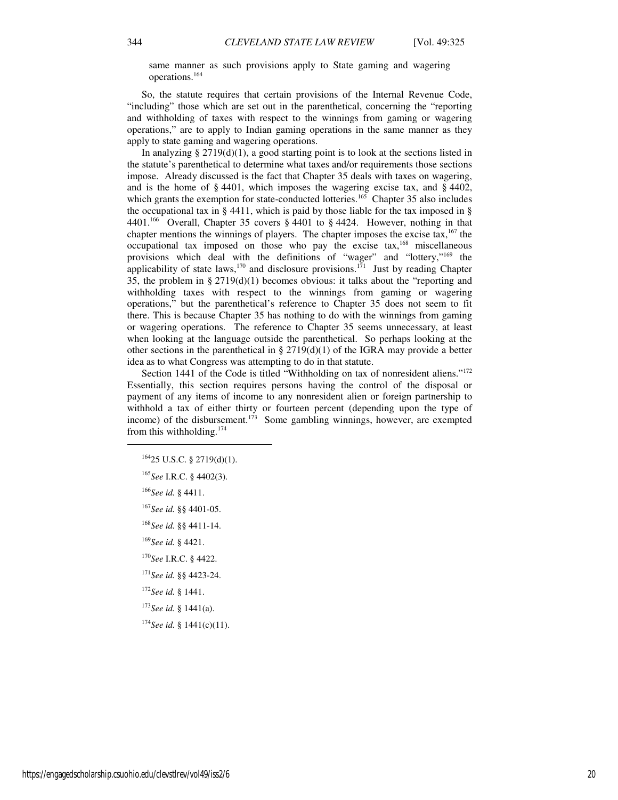same manner as such provisions apply to State gaming and wagering operations.<sup>164</sup>

So, the statute requires that certain provisions of the Internal Revenue Code, "including" those which are set out in the parenthetical, concerning the "reporting and withholding of taxes with respect to the winnings from gaming or wagering operations," are to apply to Indian gaming operations in the same manner as they apply to state gaming and wagering operations.

In analyzing  $\S 2719(d)(1)$ , a good starting point is to look at the sections listed in the statute's parenthetical to determine what taxes and/or requirements those sections impose. Already discussed is the fact that Chapter 35 deals with taxes on wagering, and is the home of § 4401, which imposes the wagering excise tax, and § 4402, which grants the exemption for state-conducted lotteries.<sup>165</sup> Chapter 35 also includes the occupational tax in § 4411, which is paid by those liable for the tax imposed in § 4401.<sup>166</sup> Overall, Chapter 35 covers § 4401 to § 4424. However, nothing in that chapter mentions the winnings of players. The chapter imposes the excise tax, $167$  the occupational tax imposed on those who pay the excise tax,<sup>168</sup> miscellaneous provisions which deal with the definitions of "wager" and "lottery,"<sup>169</sup> the applicability of state laws,  $170$  and disclosure provisions.  $171$  Just by reading Chapter 35, the problem in § 2719(d)(1) becomes obvious: it talks about the "reporting and withholding taxes with respect to the winnings from gaming or wagering operations," but the parenthetical's reference to Chapter 35 does not seem to fit there. This is because Chapter 35 has nothing to do with the winnings from gaming or wagering operations. The reference to Chapter 35 seems unnecessary, at least when looking at the language outside the parenthetical. So perhaps looking at the other sections in the parenthetical in  $\S 2719(d)(1)$  of the IGRA may provide a better idea as to what Congress was attempting to do in that statute.

Section 1441 of the Code is titled "Withholding on tax of nonresident aliens."<sup>172</sup> Essentially, this section requires persons having the control of the disposal or payment of any items of income to any nonresident alien or foreign partnership to withhold a tax of either thirty or fourteen percent (depending upon the type of income) of the disbursement.<sup>173</sup> Some gambling winnings, however, are exempted from this withholding.<sup>174</sup>

<sup>166</sup>*See id.* § 4411.

1

<sup>167</sup>*See id.* §§ 4401-05.

<sup>168</sup>*See id.* §§ 4411-14.

<sup>169</sup>*See id.* § 4421.

<sup>170</sup>*See* I.R.C. § 4422.

<sup>171</sup>*See id.* §§ 4423-24.

<sup>172</sup>*See id.* § 1441.

<sup>173</sup>*See id.* § 1441(a).

<sup>174</sup>*See id.* § 1441(c)(11).

 $16425$  U.S.C. § 2719(d)(1).

<sup>165</sup>*See* I.R.C. § 4402(3).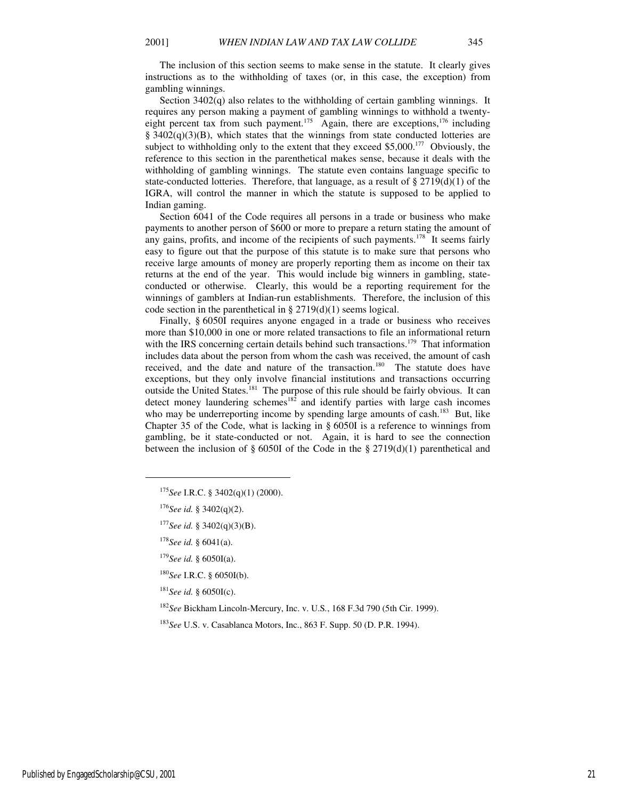The inclusion of this section seems to make sense in the statute. It clearly gives instructions as to the withholding of taxes (or, in this case, the exception) from gambling winnings.

Section 3402(q) also relates to the withholding of certain gambling winnings. It requires any person making a payment of gambling winnings to withhold a twentyeight percent tax from such payment.<sup>175</sup> Again, there are exceptions,<sup>176</sup> including  $\S$  3402(q)(3)(B), which states that the winnings from state conducted lotteries are subject to withholding only to the extent that they exceed  $$5,000<sup>177</sup>$  Obviously, the reference to this section in the parenthetical makes sense, because it deals with the withholding of gambling winnings. The statute even contains language specific to state-conducted lotteries. Therefore, that language, as a result of  $\S 2719(d)(1)$  of the IGRA, will control the manner in which the statute is supposed to be applied to Indian gaming.

Section 6041 of the Code requires all persons in a trade or business who make payments to another person of \$600 or more to prepare a return stating the amount of any gains, profits, and income of the recipients of such payments.<sup>178</sup> It seems fairly easy to figure out that the purpose of this statute is to make sure that persons who receive large amounts of money are properly reporting them as income on their tax returns at the end of the year. This would include big winners in gambling, stateconducted or otherwise. Clearly, this would be a reporting requirement for the winnings of gamblers at Indian-run establishments. Therefore, the inclusion of this code section in the parenthetical in  $\S 2719(d)(1)$  seems logical.

Finally, § 6050I requires anyone engaged in a trade or business who receives more than \$10,000 in one or more related transactions to file an informational return with the IRS concerning certain details behind such transactions.<sup>179</sup> That information includes data about the person from whom the cash was received, the amount of cash received, and the date and nature of the transaction.<sup>180</sup> The statute does have exceptions, but they only involve financial institutions and transactions occurring outside the United States.<sup>181</sup> The purpose of this rule should be fairly obvious. It can detect money laundering schemes<sup>182</sup> and identify parties with large cash incomes who may be underreporting income by spending large amounts of cash.<sup>183</sup> But, like Chapter 35 of the Code, what is lacking in § 6050I is a reference to winnings from gambling, be it state-conducted or not. Again, it is hard to see the connection between the inclusion of § 6050I of the Code in the § 2719(d)(1) parenthetical and

1

<sup>177</sup>*See id.* § 3402(q)(3)(B).

<sup>180</sup>*See* I.R.C. § 6050I(b).

<sup>181</sup>*See id.* § 6050I(c).

<sup>182</sup>*See* Bickham Lincoln-Mercury, Inc. v. U.S*.*, 168 F.3d 790 (5th Cir. 1999).

<sup>183</sup>*See* U.S. v. Casablanca Motors, Inc., 863 F. Supp. 50 (D. P.R. 1994).

<sup>175</sup>*See* I.R.C. § 3402(q)(1) (2000).

<sup>176</sup>*See id.* § 3402(q)(2).

<sup>178</sup>*See id.* § 6041(a).

<sup>179</sup>*See id.* § 6050I(a).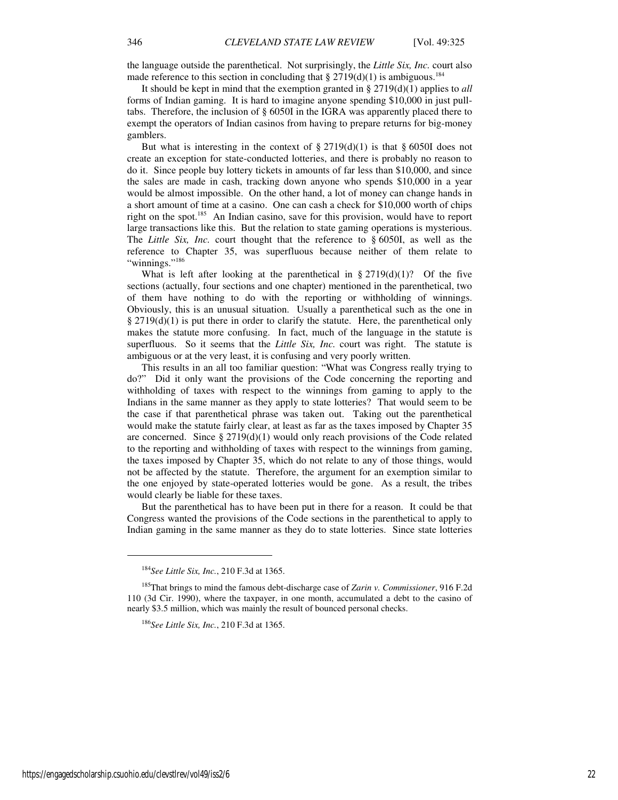the language outside the parenthetical. Not surprisingly, the *Little Six, Inc.* court also made reference to this section in concluding that  $\S 2719(d)(1)$  is ambiguous.<sup>184</sup>

It should be kept in mind that the exemption granted in § 2719(d)(1) applies to *all* forms of Indian gaming. It is hard to imagine anyone spending \$10,000 in just pulltabs. Therefore, the inclusion of § 6050I in the IGRA was apparently placed there to exempt the operators of Indian casinos from having to prepare returns for big-money gamblers.

But what is interesting in the context of  $\S 2719(d)(1)$  is that  $\S 6050I$  does not create an exception for state-conducted lotteries, and there is probably no reason to do it. Since people buy lottery tickets in amounts of far less than \$10,000, and since the sales are made in cash, tracking down anyone who spends \$10,000 in a year would be almost impossible. On the other hand, a lot of money can change hands in a short amount of time at a casino. One can cash a check for \$10,000 worth of chips right on the spot.<sup>185</sup> An Indian casino, save for this provision, would have to report large transactions like this. But the relation to state gaming operations is mysterious. The *Little Six, Inc.* court thought that the reference to § 6050I, as well as the reference to Chapter 35, was superfluous because neither of them relate to "winnings."<sup>186</sup>

What is left after looking at the parenthetical in  $\S 2719(d)(1)$ ? Of the five sections (actually, four sections and one chapter) mentioned in the parenthetical, two of them have nothing to do with the reporting or withholding of winnings. Obviously, this is an unusual situation. Usually a parenthetical such as the one in  $\S 2719(d)(1)$  is put there in order to clarify the statute. Here, the parenthetical only makes the statute more confusing. In fact, much of the language in the statute is superfluous. So it seems that the *Little Six, Inc.* court was right. The statute is ambiguous or at the very least, it is confusing and very poorly written.

This results in an all too familiar question: "What was Congress really trying to do?" Did it only want the provisions of the Code concerning the reporting and withholding of taxes with respect to the winnings from gaming to apply to the Indians in the same manner as they apply to state lotteries? That would seem to be the case if that parenthetical phrase was taken out. Taking out the parenthetical would make the statute fairly clear, at least as far as the taxes imposed by Chapter 35 are concerned. Since  $\S 2719(d)(1)$  would only reach provisions of the Code related to the reporting and withholding of taxes with respect to the winnings from gaming, the taxes imposed by Chapter 35, which do not relate to any of those things, would not be affected by the statute. Therefore, the argument for an exemption similar to the one enjoyed by state-operated lotteries would be gone. As a result, the tribes would clearly be liable for these taxes.

But the parenthetical has to have been put in there for a reason. It could be that Congress wanted the provisions of the Code sections in the parenthetical to apply to Indian gaming in the same manner as they do to state lotteries. Since state lotteries

1

<sup>184</sup>*See Little Six, Inc.*, 210 F.3d at 1365.

<sup>185</sup>That brings to mind the famous debt-discharge case of *Zarin v. Commissioner*, 916 F.2d 110 (3d Cir. 1990), where the taxpayer, in one month, accumulated a debt to the casino of nearly \$3.5 million, which was mainly the result of bounced personal checks.

<sup>186</sup>*See Little Six, Inc.*, 210 F.3d at 1365.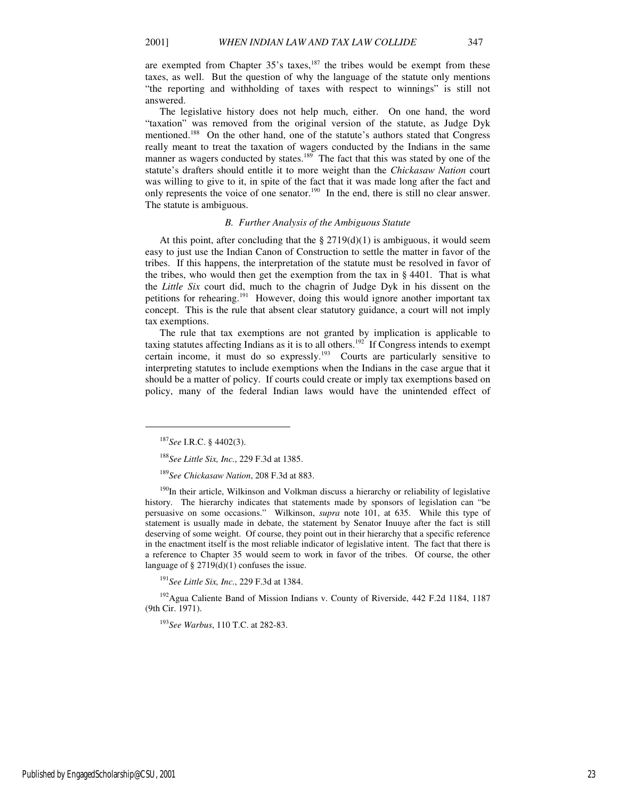are exempted from Chapter  $35$ 's taxes,<sup>187</sup> the tribes would be exempt from these taxes, as well. But the question of why the language of the statute only mentions "the reporting and withholding of taxes with respect to winnings" is still not answered.

The legislative history does not help much, either. On one hand, the word "taxation" was removed from the original version of the statute, as Judge Dyk mentioned.<sup>188</sup> On the other hand, one of the statute's authors stated that Congress really meant to treat the taxation of wagers conducted by the Indians in the same manner as wagers conducted by states.<sup>189</sup> The fact that this was stated by one of the statute's drafters should entitle it to more weight than the *Chickasaw Nation* court was willing to give to it, in spite of the fact that it was made long after the fact and only represents the voice of one senator.<sup>190</sup> In the end, there is still no clear answer. The statute is ambiguous.

### *B. Further Analysis of the Ambiguous Statute*

At this point, after concluding that the  $\S 2719(d)(1)$  is ambiguous, it would seem easy to just use the Indian Canon of Construction to settle the matter in favor of the tribes. If this happens, the interpretation of the statute must be resolved in favor of the tribes, who would then get the exemption from the tax in § 4401. That is what the *Little Six* court did, much to the chagrin of Judge Dyk in his dissent on the petitions for rehearing.<sup>191</sup> However, doing this would ignore another important tax concept. This is the rule that absent clear statutory guidance, a court will not imply tax exemptions.

The rule that tax exemptions are not granted by implication is applicable to taxing statutes affecting Indians as it is to all others.<sup>192</sup> If Congress intends to exempt certain income, it must do so expressly.<sup>193</sup> Courts are particularly sensitive to interpreting statutes to include exemptions when the Indians in the case argue that it should be a matter of policy. If courts could create or imply tax exemptions based on policy, many of the federal Indian laws would have the unintended effect of

 $\overline{a}$ 

<sup>190</sup>In their article, Wilkinson and Volkman discuss a hierarchy or reliability of legislative history. The hierarchy indicates that statements made by sponsors of legislation can "be persuasive on some occasions." Wilkinson, *supra* note 101, at 635. While this type of statement is usually made in debate, the statement by Senator Inuuye after the fact is still deserving of some weight. Of course, they point out in their hierarchy that a specific reference in the enactment itself is the most reliable indicator of legislative intent. The fact that there is a reference to Chapter 35 would seem to work in favor of the tribes. Of course, the other language of § 2719(d)(1) confuses the issue.

<sup>191</sup>*See Little Six, Inc.*, 229 F.3d at 1384.

<sup>192</sup>Agua Caliente Band of Mission Indians v. County of Riverside, 442 F.2d 1184, 1187 (9th Cir. 1971).

<sup>193</sup>*See Warbus*, 110 T.C. at 282-83.

Published by EngagedScholarship@CSU, 2001 23

<sup>187</sup>*See* I.R.C. § 4402(3).

<sup>188</sup>*See Little Six, Inc.*, 229 F.3d at 1385.

<sup>189</sup>*See Chickasaw Nation*, 208 F.3d at 883.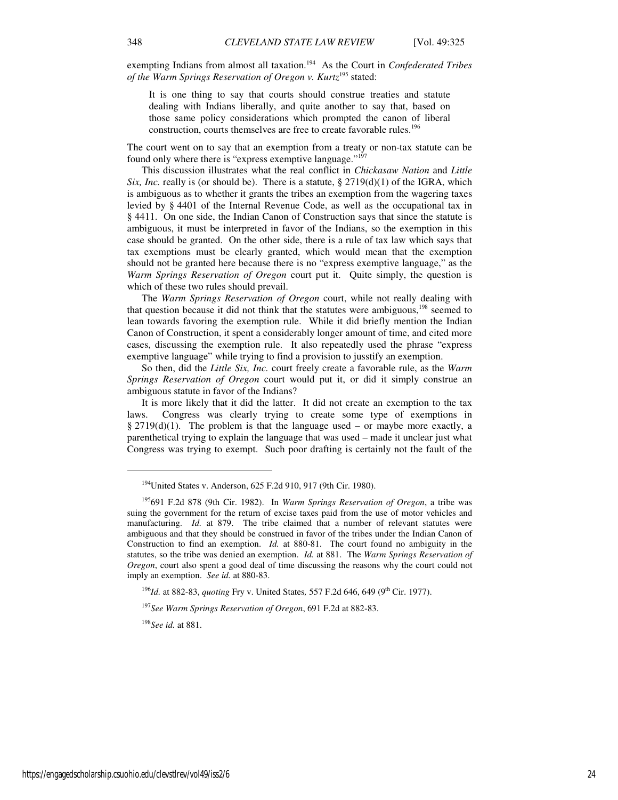exempting Indians from almost all taxation.<sup>194</sup> As the Court in *Confederated Tribes of the Warm Springs Reservation of Oregon v. Kurtz*<sup>195</sup> stated:

It is one thing to say that courts should construe treaties and statute dealing with Indians liberally, and quite another to say that, based on those same policy considerations which prompted the canon of liberal construction, courts themselves are free to create favorable rules.<sup>196</sup>

The court went on to say that an exemption from a treaty or non-tax statute can be found only where there is "express exemptive language."<sup>197</sup>

This discussion illustrates what the real conflict in *Chickasaw Nation* and *Little Six, Inc.* really is (or should be). There is a statute, § 2719(d)(1) of the IGRA, which is ambiguous as to whether it grants the tribes an exemption from the wagering taxes levied by § 4401 of the Internal Revenue Code, as well as the occupational tax in § 4411. On one side, the Indian Canon of Construction says that since the statute is ambiguous, it must be interpreted in favor of the Indians, so the exemption in this case should be granted. On the other side, there is a rule of tax law which says that tax exemptions must be clearly granted, which would mean that the exemption should not be granted here because there is no "express exemptive language," as the *Warm Springs Reservation of Oregon* court put it. Quite simply, the question is which of these two rules should prevail.

The *Warm Springs Reservation of Oregon* court, while not really dealing with that question because it did not think that the statutes were ambiguous, $198$  seemed to lean towards favoring the exemption rule. While it did briefly mention the Indian Canon of Construction, it spent a considerably longer amount of time, and cited more cases, discussing the exemption rule. It also repeatedly used the phrase "express exemptive language" while trying to find a provision to jusstify an exemption.

So then, did the *Little Six, Inc.* court freely create a favorable rule, as the *Warm Springs Reservation of Oregon* court would put it, or did it simply construe an ambiguous statute in favor of the Indians?

It is more likely that it did the latter. It did not create an exemption to the tax laws. Congress was clearly trying to create some type of exemptions in § 2719(d)(1). The problem is that the language used – or maybe more exactly, a parenthetical trying to explain the language that was used – made it unclear just what Congress was trying to exempt. Such poor drafting is certainly not the fault of the

<sup>196</sup>*Id.* at 882-83, *quoting Fry v. United States, 557 F.2d 646, 649 (9<sup>th</sup> Cir. 1977).* 

<sup>197</sup>*See Warm Springs Reservation of Oregon*, 691 F.2d at 882-83.

<sup>198</sup>*See id.* at 881.

1

<sup>&</sup>lt;sup>194</sup>United States v. Anderson, 625 F.2d 910, 917 (9th Cir. 1980).

<sup>195</sup>691 F.2d 878 (9th Cir. 1982). In *Warm Springs Reservation of Oregon*, a tribe was suing the government for the return of excise taxes paid from the use of motor vehicles and manufacturing. *Id.* at 879. The tribe claimed that a number of relevant statutes were ambiguous and that they should be construed in favor of the tribes under the Indian Canon of Construction to find an exemption. *Id.* at 880-81. The court found no ambiguity in the statutes, so the tribe was denied an exemption. *Id.* at 881. The *Warm Springs Reservation of Oregon*, court also spent a good deal of time discussing the reasons why the court could not imply an exemption. *See id.* at 880-83.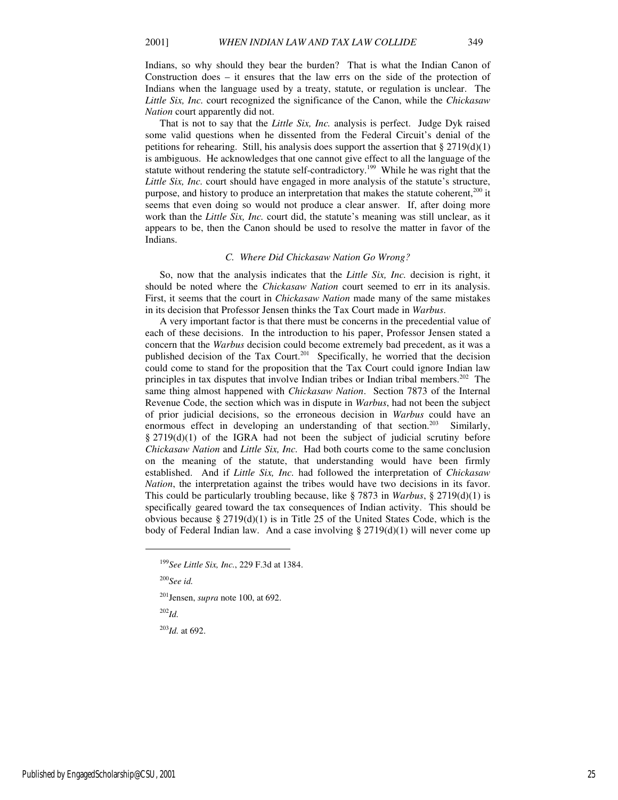Indians, so why should they bear the burden? That is what the Indian Canon of Construction does – it ensures that the law errs on the side of the protection of Indians when the language used by a treaty, statute, or regulation is unclear. The *Little Six, Inc.* court recognized the significance of the Canon, while the *Chickasaw Nation* court apparently did not.

That is not to say that the *Little Six, Inc.* analysis is perfect. Judge Dyk raised some valid questions when he dissented from the Federal Circuit's denial of the petitions for rehearing. Still, his analysis does support the assertion that §  $2719(d)(1)$ is ambiguous. He acknowledges that one cannot give effect to all the language of the statute without rendering the statute self-contradictory.<sup>199</sup> While he was right that the *Little Six, Inc.* court should have engaged in more analysis of the statute's structure, purpose, and history to produce an interpretation that makes the statute coherent, $200$  it seems that even doing so would not produce a clear answer. If, after doing more work than the *Little Six, Inc.* court did, the statute's meaning was still unclear, as it appears to be, then the Canon should be used to resolve the matter in favor of the Indians.

#### *C. Where Did Chickasaw Nation Go Wrong?*

So, now that the analysis indicates that the *Little Six, Inc.* decision is right, it should be noted where the *Chickasaw Nation* court seemed to err in its analysis. First, it seems that the court in *Chickasaw Nation* made many of the same mistakes in its decision that Professor Jensen thinks the Tax Court made in *Warbus*.

A very important factor is that there must be concerns in the precedential value of each of these decisions. In the introduction to his paper, Professor Jensen stated a concern that the *Warbus* decision could become extremely bad precedent, as it was a published decision of the Tax Court.<sup>201</sup> Specifically, he worried that the decision could come to stand for the proposition that the Tax Court could ignore Indian law principles in tax disputes that involve Indian tribes or Indian tribal members.<sup>202</sup> The same thing almost happened with *Chickasaw Nation*. Section 7873 of the Internal Revenue Code, the section which was in dispute in *Warbus*, had not been the subject of prior judicial decisions, so the erroneous decision in *Warbus* could have an enormous effect in developing an understanding of that section.<sup>203</sup> Similarly, § 2719(d)(1) of the IGRA had not been the subject of judicial scrutiny before *Chickasaw Nation* and *Little Six, Inc.* Had both courts come to the same conclusion on the meaning of the statute, that understanding would have been firmly established. And if *Little Six, Inc.* had followed the interpretation of *Chickasaw Nation*, the interpretation against the tribes would have two decisions in its favor. This could be particularly troubling because, like § 7873 in *Warbus*, § 2719(d)(1) is specifically geared toward the tax consequences of Indian activity. This should be obvious because §  $2719(d)(1)$  is in Title 25 of the United States Code, which is the body of Federal Indian law. And a case involving  $\S 2719(d)(1)$  will never come up

 $\overline{a}$ 

<sup>202</sup>*Id.*

<sup>203</sup>*Id.* at 692.

<sup>199</sup>*See Little Six, Inc.*, 229 F.3d at 1384.

<sup>200</sup>*See id.* 

<sup>201</sup>Jensen, *supra* note 100, at 692.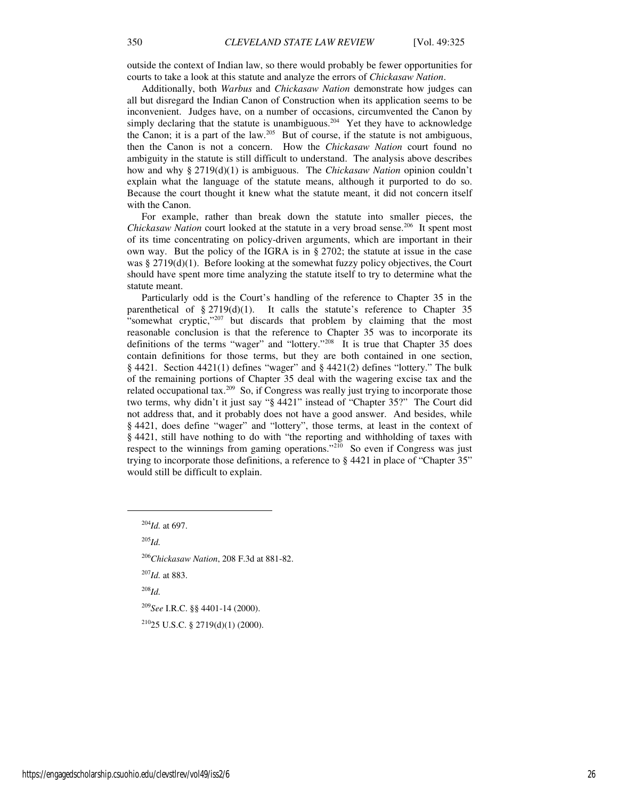outside the context of Indian law, so there would probably be fewer opportunities for courts to take a look at this statute and analyze the errors of *Chickasaw Nation*.

Additionally, both *Warbus* and *Chickasaw Nation* demonstrate how judges can all but disregard the Indian Canon of Construction when its application seems to be inconvenient. Judges have, on a number of occasions, circumvented the Canon by simply declaring that the statute is unambiguous.<sup>204</sup> Yet they have to acknowledge the Canon; it is a part of the law.<sup>205</sup> But of course, if the statute is not ambiguous, then the Canon is not a concern. How the *Chickasaw Nation* court found no ambiguity in the statute is still difficult to understand. The analysis above describes how and why § 2719(d)(1) is ambiguous. The *Chickasaw Nation* opinion couldn't explain what the language of the statute means, although it purported to do so. Because the court thought it knew what the statute meant, it did not concern itself with the Canon.

For example, rather than break down the statute into smaller pieces, the *Chickasaw Nation* court looked at the statute in a very broad sense.<sup>206</sup> It spent most of its time concentrating on policy-driven arguments, which are important in their own way. But the policy of the IGRA is in § 2702; the statute at issue in the case was § 2719(d)(1). Before looking at the somewhat fuzzy policy objectives, the Court should have spent more time analyzing the statute itself to try to determine what the statute meant.

Particularly odd is the Court's handling of the reference to Chapter 35 in the parenthetical of  $\S 2719(d)(1)$ . It calls the statute's reference to Chapter 35 "somewhat cryptic,"<sup>207</sup> but discards that problem by claiming that the most reasonable conclusion is that the reference to Chapter 35 was to incorporate its definitions of the terms "wager" and "lottery."<sup>208</sup> It is true that Chapter 35 does contain definitions for those terms, but they are both contained in one section, § 4421. Section 4421(1) defines "wager" and § 4421(2) defines "lottery." The bulk of the remaining portions of Chapter 35 deal with the wagering excise tax and the related occupational tax.<sup>209</sup> So, if Congress was really just trying to incorporate those two terms, why didn't it just say "§ 4421" instead of "Chapter 35?" The Court did not address that, and it probably does not have a good answer. And besides, while § 4421, does define "wager" and "lottery", those terms, at least in the context of § 4421, still have nothing to do with "the reporting and withholding of taxes with respect to the winnings from gaming operations."<sup>210</sup> So even if Congress was just trying to incorporate those definitions, a reference to § 4421 in place of "Chapter 35" would still be difficult to explain.

<sup>204</sup>*Id.* at 697.

 $^{205}$ *Id.* 

1

<sup>206</sup>*Chickasaw Nation*, 208 F.3d at 881-82.

<sup>207</sup>*Id.* at 883.

<sup>208</sup>*Id.*

<sup>209</sup>*See* I.R.C. §§ 4401-14 (2000).

<sup>210</sup>25 U.S.C. § 2719(d)(1) (2000).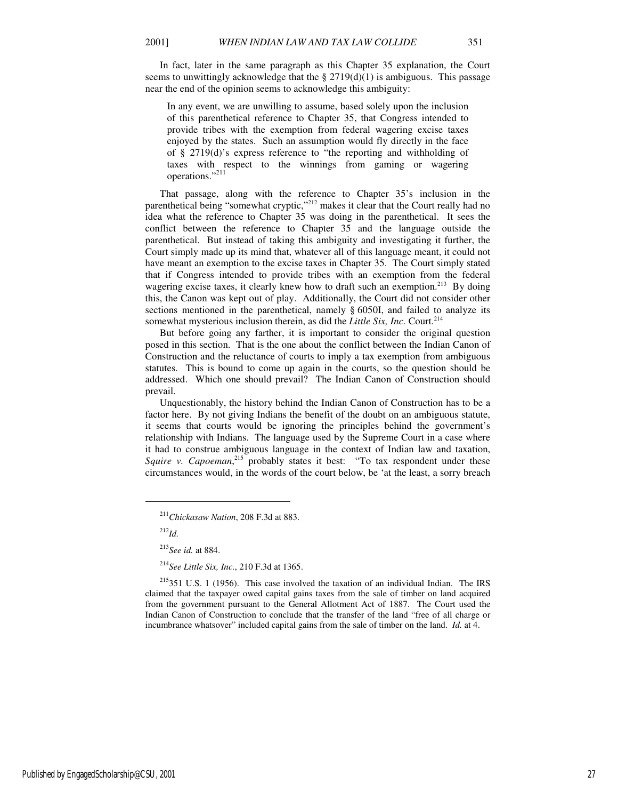In fact, later in the same paragraph as this Chapter 35 explanation, the Court seems to unwittingly acknowledge that the  $\S 2719(d)(1)$  is ambiguous. This passage near the end of the opinion seems to acknowledge this ambiguity:

In any event, we are unwilling to assume, based solely upon the inclusion of this parenthetical reference to Chapter 35, that Congress intended to provide tribes with the exemption from federal wagering excise taxes enjoyed by the states. Such an assumption would fly directly in the face of § 2719(d)'s express reference to "the reporting and withholding of taxes with respect to the winnings from gaming or wagering operations."<sup>211</sup>

That passage, along with the reference to Chapter 35's inclusion in the parenthetical being "somewhat cryptic,"<sup>212</sup> makes it clear that the Court really had no idea what the reference to Chapter 35 was doing in the parenthetical. It sees the conflict between the reference to Chapter 35 and the language outside the parenthetical. But instead of taking this ambiguity and investigating it further, the Court simply made up its mind that, whatever all of this language meant, it could not have meant an exemption to the excise taxes in Chapter 35. The Court simply stated that if Congress intended to provide tribes with an exemption from the federal wagering excise taxes, it clearly knew how to draft such an exemption.<sup>213</sup> By doing this, the Canon was kept out of play. Additionally, the Court did not consider other sections mentioned in the parenthetical, namely § 6050I, and failed to analyze its somewhat mysterious inclusion therein, as did the *Little Six, Inc.* Court.<sup>214</sup>

But before going any farther, it is important to consider the original question posed in this section. That is the one about the conflict between the Indian Canon of Construction and the reluctance of courts to imply a tax exemption from ambiguous statutes. This is bound to come up again in the courts, so the question should be addressed. Which one should prevail? The Indian Canon of Construction should prevail.

Unquestionably, the history behind the Indian Canon of Construction has to be a factor here. By not giving Indians the benefit of the doubt on an ambiguous statute, it seems that courts would be ignoring the principles behind the government's relationship with Indians. The language used by the Supreme Court in a case where it had to construe ambiguous language in the context of Indian law and taxation, Squire v. Capoeman,<sup>215</sup> probably states it best: "To tax respondent under these circumstances would, in the words of the court below, be 'at the least, a sorry breach

<sup>212</sup>*Id.*

j

Published by EngagedScholarship@CSU, 2001 27

<sup>211</sup>*Chickasaw Nation*, 208 F.3d at 883.

<sup>213</sup>*See id.* at 884.

<sup>214</sup>*See Little Six, Inc.*, 210 F.3d at 1365.

 $215351$  U.S. 1 (1956). This case involved the taxation of an individual Indian. The IRS claimed that the taxpayer owed capital gains taxes from the sale of timber on land acquired from the government pursuant to the General Allotment Act of 1887. The Court used the Indian Canon of Construction to conclude that the transfer of the land "free of all charge or incumbrance whatsover" included capital gains from the sale of timber on the land. *Id.* at 4.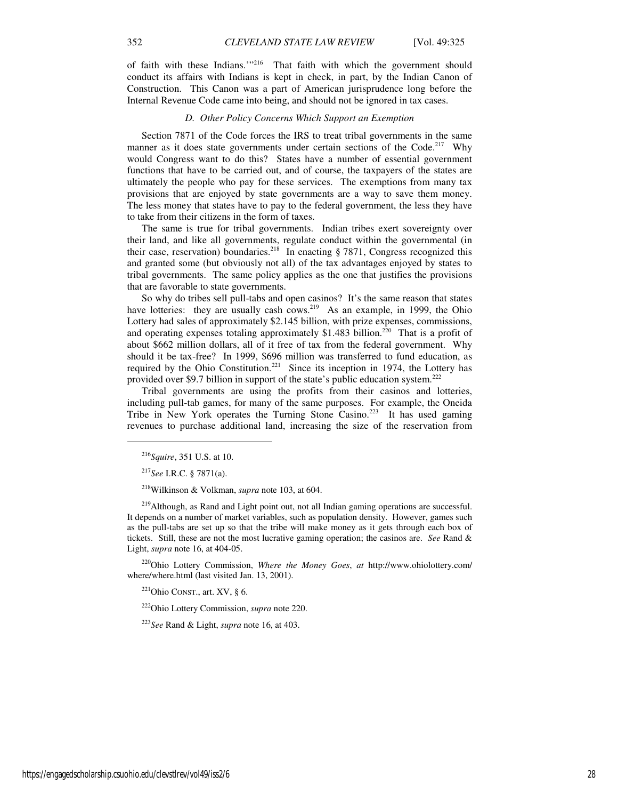of faith with these Indians."<sup>216</sup> That faith with which the government should conduct its affairs with Indians is kept in check, in part, by the Indian Canon of Construction. This Canon was a part of American jurisprudence long before the Internal Revenue Code came into being, and should not be ignored in tax cases.

## *D. Other Policy Concerns Which Support an Exemption*

Section 7871 of the Code forces the IRS to treat tribal governments in the same manner as it does state governments under certain sections of the Code.<sup>217</sup> Why would Congress want to do this? States have a number of essential government functions that have to be carried out, and of course, the taxpayers of the states are ultimately the people who pay for these services. The exemptions from many tax provisions that are enjoyed by state governments are a way to save them money. The less money that states have to pay to the federal government, the less they have to take from their citizens in the form of taxes.

The same is true for tribal governments. Indian tribes exert sovereignty over their land, and like all governments, regulate conduct within the governmental (in their case, reservation) boundaries.<sup>218</sup> In enacting  $\S 7871$ , Congress recognized this and granted some (but obviously not all) of the tax advantages enjoyed by states to tribal governments. The same policy applies as the one that justifies the provisions that are favorable to state governments.

So why do tribes sell pull-tabs and open casinos? It's the same reason that states have lotteries: they are usually cash cows.<sup>219</sup> As an example, in 1999, the Ohio Lottery had sales of approximately \$2.145 billion, with prize expenses, commissions, and operating expenses totaling approximately \$1.483 billion.<sup>220</sup> That is a profit of about \$662 million dollars, all of it free of tax from the federal government. Why should it be tax-free? In 1999, \$696 million was transferred to fund education, as required by the Ohio Constitution.<sup>221</sup> Since its inception in 1974, the Lottery has provided over \$9.7 billion in support of the state's public education system.<sup>222</sup>

Tribal governments are using the profits from their casinos and lotteries, including pull-tab games, for many of the same purposes. For example, the Oneida Tribe in New York operates the Turning Stone Casino.<sup>223</sup> It has used gaming revenues to purchase additional land, increasing the size of the reservation from

1

<sup>220</sup>Ohio Lottery Commission, *Where the Money Goes*, *at* http://www.ohiolottery.com/ where/where.html (last visited Jan. 13, 2001).

 $221$ Ohio CONST., art. XV, § 6.

<sup>222</sup>Ohio Lottery Commission, *supra* note 220.

<sup>223</sup>*See* Rand & Light, *supra* note 16, at 403.

<sup>216</sup>*Squire*, 351 U.S. at 10.

<sup>217</sup>*See* I.R.C. § 7871(a).

<sup>218</sup>Wilkinson & Volkman, *supra* note 103, at 604.

<sup>&</sup>lt;sup>219</sup>Although, as Rand and Light point out, not all Indian gaming operations are successful. It depends on a number of market variables, such as population density. However, games such as the pull-tabs are set up so that the tribe will make money as it gets through each box of tickets. Still, these are not the most lucrative gaming operation; the casinos are. *See* Rand & Light, *supra* note 16, at 404-05.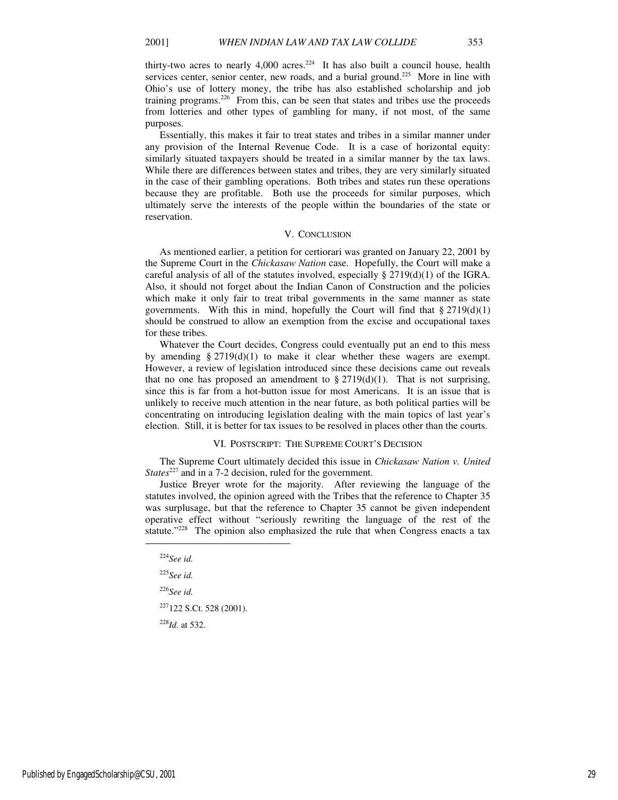thirty-two acres to nearly  $4,000$  acres.<sup>224</sup> It has also built a council house, health services center, senior center, new roads, and a burial ground.<sup>225</sup> More in line with Ohio's use of lottery money, the tribe has also established scholarship and job training programs.<sup>226</sup> From this, can be seen that states and tribes use the proceeds from lotteries and other types of gambling for many, if not most, of the same purposes.

Essentially, this makes it fair to treat states and tribes in a similar manner under any provision of the Internal Revenue Code. It is a case of horizontal equity: similarly situated taxpayers should be treated in a similar manner by the tax laws. While there are differences between states and tribes, they are very similarly situated in the case of their gambling operations. Both tribes and states run these operations because they are profitable. Both use the proceeds for similar purposes, which ultimately serve the interests of the people within the boundaries of the state or reservation.

#### V. CONCLUSION

As mentioned earlier, a petition for certiorari was granted on January 22, 2001 by the Supreme Court in the *Chickasaw Nation* case. Hopefully, the Court will make a careful analysis of all of the statutes involved, especially  $\S 2719(d)(1)$  of the IGRA. Also, it should not forget about the Indian Canon of Construction and the policies which make it only fair to treat tribal governments in the same manner as state governments. With this in mind, hopefully the Court will find that  $\S 2719(d)(1)$ should be construed to allow an exemption from the excise and occupational taxes for these tribes.

Whatever the Court decides, Congress could eventually put an end to this mess by amending  $\S 2719(d)(1)$  to make it clear whether these wagers are exempt. However, a review of legislation introduced since these decisions came out reveals that no one has proposed an amendment to  $\S 2719(d)(1)$ . That is not surprising, since this is far from a hot-button issue for most Americans. It is an issue that is unlikely to receive much attention in the near future, as both political parties will be concentrating on introducing legislation dealing with the main topics of last year's election. Still, it is better for tax issues to be resolved in places other than the courts.

## VI. POSTSCRIPT: THE SUPREME COURT'S DECISION

The Supreme Court ultimately decided this issue in *Chickasaw Nation v. United States*<sup>227</sup> and in a 7-2 decision, ruled for the government.

Justice Breyer wrote for the majority. After reviewing the language of the statutes involved, the opinion agreed with the Tribes that the reference to Chapter 35 was surplusage, but that the reference to Chapter 35 cannot be given independent operative effect without "seriously rewriting the language of the rest of the statute."<sup>228</sup> The opinion also emphasized the rule that when Congress enacts a tax

 $\overline{a}$ 

<sup>225</sup>*See id.* 

<sup>226</sup>*See id.* 

<sup>227</sup>122 S.Ct. 528 (2001).

<sup>228</sup>*Id.* at 532.

<sup>224</sup>*See id.*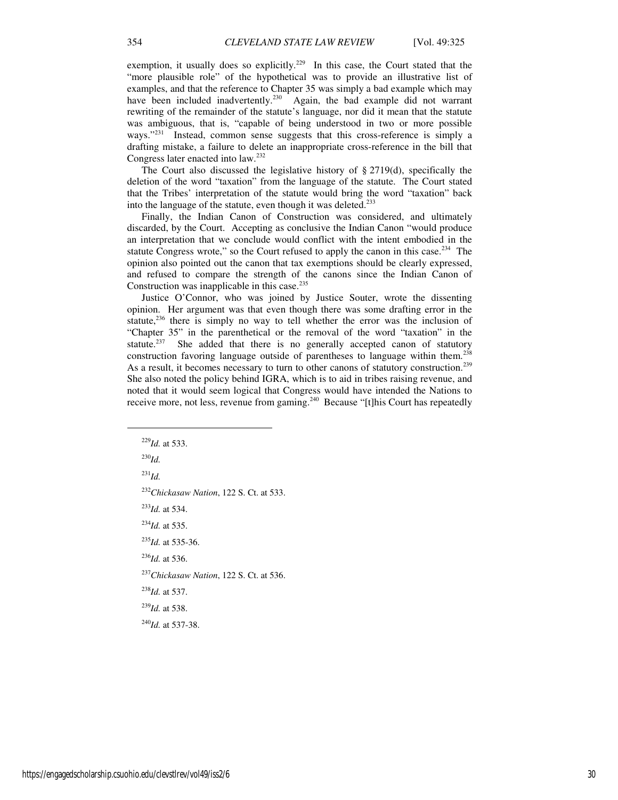exemption, it usually does so explicitly.<sup>229</sup> In this case, the Court stated that the "more plausible role" of the hypothetical was to provide an illustrative list of examples, and that the reference to Chapter 35 was simply a bad example which may have been included inadvertently.<sup>230</sup> Again, the bad example did not warrant rewriting of the remainder of the statute's language, nor did it mean that the statute was ambiguous, that is, "capable of being understood in two or more possible ways."<sup>231</sup> Instead, common sense suggests that this cross-reference is simply a drafting mistake, a failure to delete an inappropriate cross-reference in the bill that Congress later enacted into law.<sup>232</sup>

The Court also discussed the legislative history of  $\S 2719(d)$ , specifically the deletion of the word "taxation" from the language of the statute. The Court stated that the Tribes' interpretation of the statute would bring the word "taxation" back into the language of the statute, even though it was deleted.<sup>233</sup>

Finally, the Indian Canon of Construction was considered, and ultimately discarded, by the Court. Accepting as conclusive the Indian Canon "would produce an interpretation that we conclude would conflict with the intent embodied in the statute Congress wrote," so the Court refused to apply the canon in this case. $234$  The opinion also pointed out the canon that tax exemptions should be clearly expressed, and refused to compare the strength of the canons since the Indian Canon of Construction was inapplicable in this case. $235$ 

Justice O'Connor, who was joined by Justice Souter, wrote the dissenting opinion. Her argument was that even though there was some drafting error in the statute, $236$  there is simply no way to tell whether the error was the inclusion of "Chapter 35" in the parenthetical or the removal of the word "taxation" in the statute.<sup>237</sup> She added that there is no generally accepted canon of statutory construction favoring language outside of parentheses to language within them.<sup>238</sup> As a result, it becomes necessary to turn to other canons of statutory construction.<sup>239</sup> She also noted the policy behind IGRA, which is to aid in tribes raising revenue, and noted that it would seem logical that Congress would have intended the Nations to receive more, not less, revenue from gaming.<sup>240</sup> Because "[t]his Court has repeatedly

1

<sup>231</sup>*Id.*

<sup>232</sup>*Chickasaw Nation*, 122 S. Ct. at 533.

<sup>233</sup>*Id.* at 534.

<sup>234</sup>*Id.* at 535.

<sup>235</sup>*Id.* at 535-36.

<sup>236</sup>*Id.* at 536.

<sup>237</sup>*Chickasaw Nation*, 122 S. Ct. at 536.

<sup>238</sup>*Id.* at 537.

<sup>239</sup>*Id.* at 538.

<sup>240</sup>*Id.* at 537-38.

<sup>229</sup>*Id.* at 533. <sup>230</sup>*Id.*